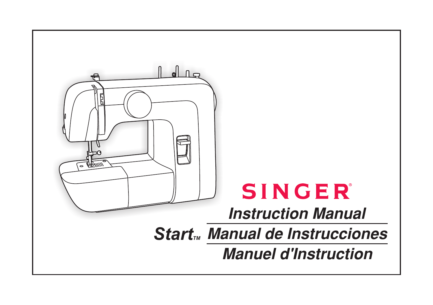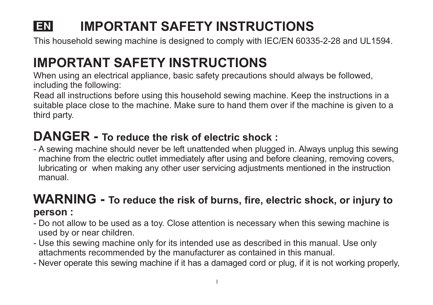#### **LEN IMPORTANT SAFETY INSTRUCTIONS**

This household sewing machine is designed to comply with IEC/EN 60335-2-28 and UL1594.

## **IMPORTANT SAFETY INSTRUCTIONS**

When using an electrical appliance, basic safety precautions should always be followed, including the following:

Read all instructions before using this household sewing machine. Keep the instructions in a suitable place close to the machine. Make sure to hand them over if the machine is given to a third party.

## **DANGER - To reduce the risk of electric shock :**

- A sewing machine should never be left unattended when plugged in. Always unplug this sewing machine from the electric outlet immediately after using and before cleaning, removing covers, lubricating or when making any other user servicing adjustments mentioned in the instruction manual.

## **WARNING - To reduce the risk of burns, fire, electric shock, or injury to person :**

- Do not allow to be used as a toy. Close attention is necessary when this sewing machine is used by or near children.
- Use this sewing machine only for its intended use as described in this manual. Use only attachments recommended by the manufacturer as contained in this manual.
- Never operate this sewing machine if it has a damaged cord or plug, if it is not working properly,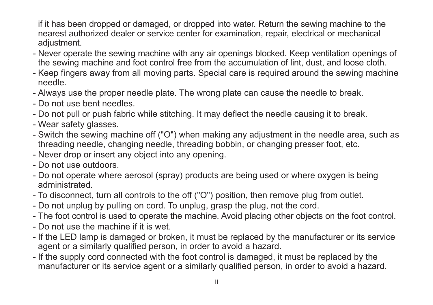if it has been dropped or damaged, or dropped into water. Return the sewing machine to the nearest authorized dealer or service center for examination, repair, electrical or mechanical adjustment.

- Never operate the sewing machine with any air openings blocked. Keep ventilation openings of the sewing machine and foot control free from the accumulation of lint, dust, and loose cloth.
- Keep fingers away from all moving parts. Special care is required around the sewing machine needle.
- Always use the proper needle plate. The wrong plate can cause the needle to break.
- Do not use bent needles.
- Do not pull or push fabric while stitching. It may deflect the needle causing it to break.
- Wear safety glasses.
- Switch the sewing machine off ("O") when making any adjustment in the needle area, such as threading needle, changing needle, threading bobbin, or changing presser foot, etc.
- Never drop or insert any object into any opening.
- Do not use outdoors.
- Do not operate where aerosol (spray) products are being used or where oxygen is being administrated.
- To disconnect, turn all controls to the off ("O") position, then remove plug from outlet.
- Do not unplug by pulling on cord. To unplug, grasp the plug, not the cord.
- The foot control is used to operate the machine. Avoid placing other objects on the foot control.
- Do not use the machine if it is wet.
- If the LED lamp is damaged or broken, it must be replaced by the manufacturer or its service agent or a similarly qualified person, in order to avoid a hazard.
- If the supply cord connected with the foot control is damaged, it must be replaced by the manufacturer or its service agent or a similarly qualified person, in order to avoid a hazard.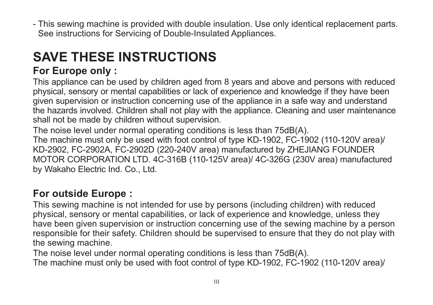- This sewing machine is provided with double insulation. Use only identical replacement parts. See instructions for Servicing of Double-Insulated Appliances.

# **SAVE THESE INSTRUCTIONS**

## **For Europe only :**

This appliance can be used by children aged from 8 years and above and persons with reduced physical, sensory or mental capabilities or lack of experience and knowledge if they have been given supervision or instruction concerning use of the appliance in a safe way and understand the hazards involved. Children shall not play with the appliance. Cleaning and user maintenance shall not be made by children without supervision.

The noise level under normal operating conditions is less than 75dB(A). The machine must only be used with foot control of type KD-1902, FC-1902 (110-120V area)/ KD-2902, FC-2902A, FC-2902D (220-240V area) manufactured by ZHEJIANG FOUNDER MOTOR CORPORATION LTD. 4C-316B (110-125V area)/ 4C-326G (230V area) manufactured by Wakaho Electric Ind. Co., Ltd.

## **For outside Europe :**

This sewing machine is not intended for use by persons (including children) with reduced physical, sensory or mental capabilities, or lack of experience and knowledge, unless they have been given supervision or instruction concerning use of the sewing machine by a person responsible for their safety. Children should be supervised to ensure that they do not play with the sewing machine.

The noise level under normal operating conditions is less than 75dB(A). The machine must only be used with foot control of type KD-1902, FC-1902 (110-120V area)/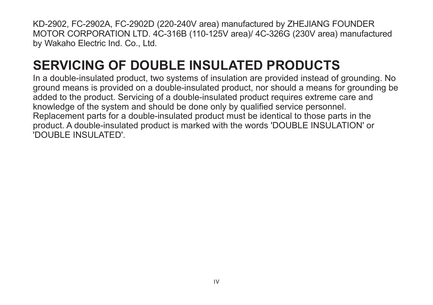KD-2902, FC-2902A, FC-2902D (220-240V area) manufactured by ZHEJIANG FOUNDER MOTOR CORPORATION LTD. 4C-316B (110-125V area)/ 4C-326G (230V area) manufactured by Wakaho Electric Ind. Co., Ltd.

## **SERVICING OF DOUBLE INSULATED PRODUCTS**

In a double-insulated product, two systems of insulation are provided instead of grounding. No ground means is provided on a double-insulated product, nor should a means for grounding be added to the product. Servicing of a double-insulated product requires extreme care and knowledge of the system and should be done only by qualified service personnel. Replacement parts for a double-insulated product must be identical to those parts in the product. A double-insulated product is marked with the words 'DOUBLE INSULATION' or 'DOUBLE INSULATED'.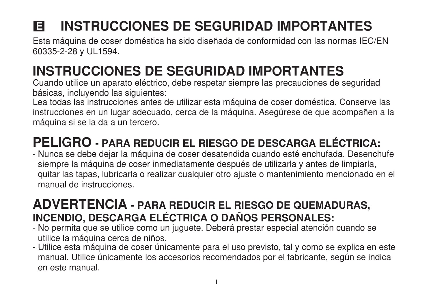#### **INSTRUCCIONES DE SEGURIDAD IMPORTANTES** E

Esta máquina de coser doméstica ha sido diseñada de conformidad con las normas IEC/EN 60335-2-28 y UL1594.

# **INSTRUCCIONES DE SEGURIDAD IMPORTANTES**

Cuando utilice un aparato eléctrico, debe respetar siempre las precauciones de seguridad básicas, incluvendo las siguientes:

Lea todas las instrucciones antes de utilizar esta máquina de coser doméstica. Conserve las instrucciones en un lugar adecuado, cerca de la máquina. Asegúrese de que acompañen a la máquina si se la da a un tercero.

## **PELIGRO - PARA REDUCIR EL RIESGO DE DESCARGA ELÉCTRICA:**

- Nunca se debe dejar la máquina de coser desatendida cuando esté enchufada. Desenchufe siempre la máquina de coser inmediatamente después de utilizarla y antes de limpiarla, quitar las tapas, lubricarla o realizar cualquier otro ajuste o mantenimiento mencionado en el manual de instrucciones.

## **ADVERTENCIA - PARA REDUCIR EL RIESGO DE QUEMADURAS,** INCENDIO, DESCARGA ELÉCTRICA O DAÑOS PERSONALES:

- No permita que se utilice como un juguete. Deberá prestar especial atención cuando se utilice la máquina cerca de niños.
- Utilice esta máquina de coser únicamente para el uso previsto, tal y como se explica en este manual. Utilice únicamente los accesorios recomendados por el fabricante, según se indica en este manual.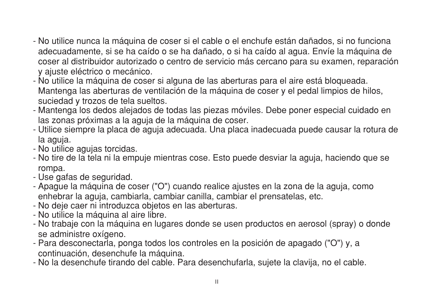- No utilice nunca la máquina de coser si el cable o el enchufe están dañados, si no funciona adecuadamente, si se ha caído o se ha dañado, o si ha caído al agua. Envíe la máquina de coser al distribuidor autorizado o centro de servicio más cercano para su examen, reparación v ajuste eléctrico o mecánico.
- No utilice la máquina de coser si alguna de las aberturas para el aire está bloqueada. Mantenga las aberturas de ventilación de la máquina de coser y el pedal limpios de hilos. suciedad y trozos de tela sueltos.
- Mantenga los dedos alejados de todas las piezas móviles. Debe poner especial cuidado en las zonas próximas a la aguja de la máquina de coser.
- Utilice siempre la placa de aguja adecuada. Una placa inadecuada puede causar la rotura de la aguja.
- No utilice aquias torcidas.
- No tire de la tela ni la empuje mientras cose. Esto puede desviar la aguja, haciendo que se rompa.
- Use gafas de seguridad.
- Apague la máquina de coser ("O") cuando realice ajustes en la zona de la aguja, como enhebrar la aquia, cambiarla, cambiar canilla, cambiar el prensatelas, etc.
- No deje caer ni introduzca objetos en las aberturas.
- No utilice la máquina al aire libre.
- No trabaje con la máquina en lugares donde se usen productos en aerosol (spray) o donde se administre oxígeno.
- Para desconectarla, ponga todos los controles en la posición de apagado ("O") y, a continuación, desenchufe la máquina.
- No la desenchufe tirando del cable. Para desenchufarla, sujete la clavija, no el cable.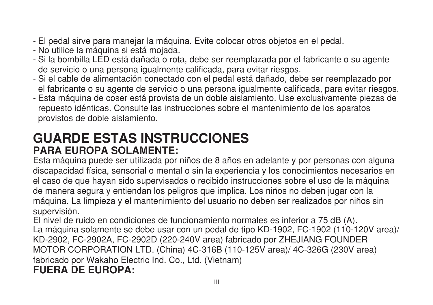- El pedal sirve para manejar la máquina. Evite colocar otros objetos en el pedal.
- No utilice la máquina si está mojada.
- Si la bombilla LED está dañada o rota, debe ser reemplazada por el fabricante o su agente de servicio o una persona igualmente calificada, para evitar riesgos.
- Si el cable de alimentación conectado con el pedal está dañado, debe ser reemplazado por el fabricante o su agente de servicio o una persona igualmente calificada, para evitar riesgos.
- Esta máquina de coser está provista de un doble aislamiento. Use exclusivamente piezas de repuesto idénticas. Consulte las instrucciones sobre el mantenimiento de los aparatos provistos de doble aislamiento.

## **GUARDE ESTAS INSTRUCCIONES PARA EUROPA SOLAMENTE:**

Esta máquina puede ser utilizada por niños de 8 años en adelante y por personas con alguna discapacidad física, sensorial o mental o sin la experiencia y los conocimientos necesarios en el caso de que hayan sido supervisados o recibido instrucciones sobre el uso de la máquina de manera segura y entiendan los peligros que implica. Los niños no deben jugar con la máquina. La limpieza y el mantenimiento del usuario no deben ser realizados por niños sin supervisión.

El nivel de ruido en condiciones de funcionamiento normales es inferior a 75 dB (A). La máquina solamente se debe usar con un pedal de tipo KD-1902, FC-1902 (110-120V area)/ KD-2902, FC-2902A, FC-2902D (220-240V area) fabricado por ZHEJIANG FOUNDER MOTOR CORPORATION LTD. (China) 4C-316B (110-125V area)/ 4C-326G (230V area) fabricado por Wakaho Electric Ind. Co., Ltd. (Vietnam) **FUERA DE EUROPA:**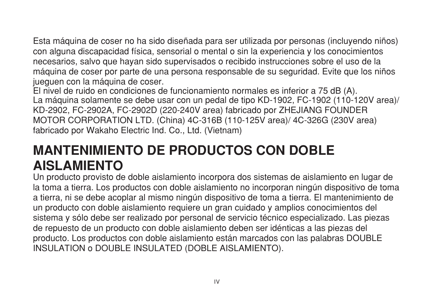Esta máquina de coser no ha sido diseñada para ser utilizada por personas (incluyendo niños) con alguna discapacidad física, sensorial o mental o sin la experiencia y los conocimientos necesarios, salvo que hayan sido supervisados o recibido instrucciones sobre el uso de la máquina de coser por parte de una persona responsable de su seguridad. Evite que los niños juequen con la máquina de coser.

El nivel de ruido en condiciones de funcionamiento normales es inferior a 75 dB (A). La máquina solamente se debe usar con un pedal de tipo KD-1902, FC-1902 (110-120V area)/ KD-2902, FC-2902A, FC-2902D (220-240V area) fabricado por ZHEJIANG FOUNDER MOTOR CORPORATION LTD. (China) 4C-316B (110-125V area)/ 4C-326G (230V area) fabricado por Wakaho Electric Ind. Co., Ltd. (Vietnam)

## **MANTENIMIENTO DE PRODUCTOS CON DOBLE AISLAMIENTO**

Un producto provisto de doble aislamiento incorpora dos sistemas de aislamiento en lugar de la toma a tierra. Los productos con doble aislamiento no incorporan ningún dispositivo de toma a tierra, ni se debe acoplar al mismo ningún dispositivo de toma a tierra. El mantenimiento de un producto con doble aislamiento requiere un gran cuidado y amplios conocimientos del sistema y sólo debe ser realizado por personal de servicio técnico especializado. Las piezas de repuesto de un producto con doble aislamiento deben ser idénticas a las piezas del producto. Los productos con doble aislamiento están marcados con las palabras DOUBLE INSULATION o DOUBLE INSULATED (DOBLE AISLAMIENTO).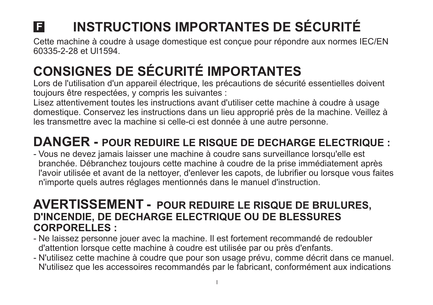# **INSTRUCTIONS IMPORTANTES DE SÉCURITÉ**

Cette machine à coudre à usage domestique est conçue pour répondre aux normes IEC/EN 60335-2-28 et Ul1594.

# **CONSIGNES DE SÉCURITÉ IMPORTANTES**

Lors de l'utilisation d'un appareil électrique, les précautions de sécurité essentielles doivent toujours être respectées, y compris les suivantes :

Lisez attentivement toutes les instructions avant d'utiliser cette machine à coudre à usage domestique. Conservez les instructions dans un lieu approprié près de la machine. Veillez à les transmettre avec la machine si celle-ci est donnée à une autre personne.

## **DANGER - POUR REDUIRE LE RISQUE DE DECHARGE ELECTRIQUE :**

- Vous ne devez jamais laisser une machine à coudre sans surveillance lorsqu'elle est branchée. Débranchez toujours cette machine à coudre de la prise immédiatement après l'avoir utilisée et avant de la nettoyer, d'enlever les capots, de lubrifier ou lorsque vous faites n'importe quels autres réglages mentionnés dans le manuel d'instruction.

## **AVERTISSEMENT - POUR REDUIRE LE RISQUE DE BRULURES, D'INCENDIE, DE DECHARGE ELECTRIQUE OU DE BLESSURES CORPORELLES :**

- Ne laissez personne jouer avec la machine. Il est fortement recommandé de redoubler d'attention lorsque cette machine à coudre est utilisée par ou près d'enfants.
- N'utilisez cette machine à coudre que pour son usage prévu, comme décrit dans ce manuel. N'utilisez que les accessoires recommandés par le fabricant, conformément aux indications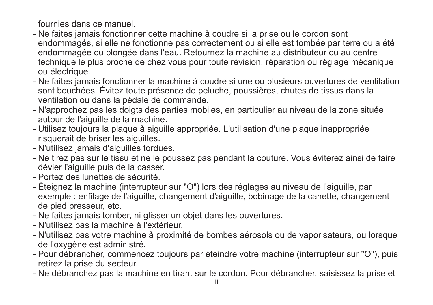fournies dans ce manuel.

- Ne faites jamais fonctionner cette machine à coudre si la prise ou le cordon sont endommagés, si elle ne fonctionne pas correctement ou si elle est tombée par terre ou a été endommagée ou plongée dans l'eau. Retournez la machine au distributeur ou au centre technique le plus proche de chez vous pour toute révision, réparation ou réglage mécanique ou électrique.
- Ne faites jamais fonctionner la machine à coudre si une ou plusieurs ouvertures de ventilation sont bouchées. Évitez toute présence de peluche, poussières, chutes de tissus dans la ventilation ou dans la pédale de commande.
- N'approchez pas les doigts des parties mobiles, en particulier au niveau de la zone située autour de l'aiguille de la machine.
- Utilisez toujours la plaque à aiguille appropriée. L'utilisation d'une plaque inappropriée risquerait de briser les aiguilles.
- N'utilisez jamais d'aiguilles tordues.
- Ne tirez pas sur le tissu et ne le poussez pas pendant la couture. Vous éviterez ainsi de faire dévier l'aiguille puis de la casser.
- Portez des lunettes de sécurité.
- Éteignez la machine (interrupteur sur "O") lors des réglages au niveau de l'aiguille, par exemple : enfilage de l'aiguille, changement d'aiguille, bobinage de la canette, changement de pied presseur, etc.
- Ne faites jamais tomber, ni glisser un objet dans les ouvertures.
- N'utilisez pas la machine à l'extérieur.
- N'utilisez pas votre machine à proximité de bombes aérosols ou de vaporisateurs, ou lorsque de l'oxygène est administré.
- Pour débrancher, commencez toujours par éteindre votre machine (interrupteur sur "O"), puis retirez la prise du secteur.
- Ne débranchez pas la machine en tirant sur le cordon. Pour débrancher, saisissez la prise et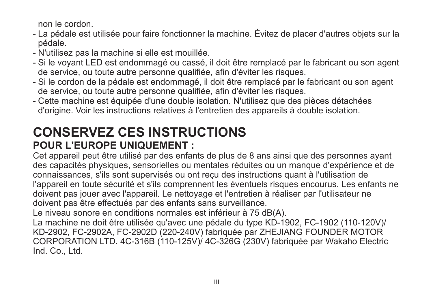non le cordon.

- La pédale est utilisée pour faire fonctionner la machine. Évitez de placer d'autres objets sur la pédale.
- N'utilisez pas la machine si elle est mouillée.
- Si le voyant LED est endommagé ou cassé, il doit être remplacé par le fabricant ou son agent de service, ou toute autre personne qualifiée, afin d'éviter les risques.
- Si le cordon de la pédale est endommagé, il doit être remplacé par le fabricant ou son agent de service, ou toute autre personne qualifiée, afin d'éviter les risques.
- Cette machine est équipée d'une double isolation. N'utilisez que des pièces détachées d'origine. Voir les instructions relatives à l'entretien des appareils à double isolation.

## **CONSERVEZ CES INSTRUCTIONS POUR L'EUROPE UNIQUEMENT :**

Cet appareil peut être utilisé par des enfants de plus de 8 ans ainsi que des personnes ayant des capacités physiques, sensorielles ou mentales réduites ou un manque d'expérience et de connaissances, s'ils sont supervisés ou ont reçu des instructions quant à l'utilisation de l'appareil en toute sécurité et s'ils comprennent les éventuels risques encourus. Les enfants ne doivent pas jouer avec l'appareil. Le nettoyage et l'entretien à réaliser par l'utilisateur ne doivent pas être effectués par des enfants sans surveillance.

Le niveau sonore en conditions normales est inférieur à 75 dB(A).

La machine ne doit être utilisée qu'avec une pédale du type KD-1902, FC-1902 (110-120V)/ KD-2902, FC-2902A, FC-2902D (220-240V) fabriquée par ZHEJIANG FOUNDER MOTOR CORPORATION LTD. 4C-316B (110-125V)/ 4C-326G (230V) fabriquée par Wakaho Electric Ind. Co., Ltd.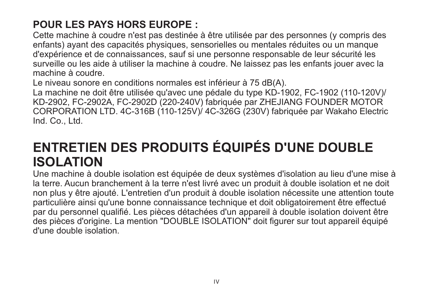## **POUR LES PAYS HORS EUROPE :**

Cette machine à coudre n'est pas destinée à être utilisée par des personnes (y compris des enfants) ayant des capacités physiques, sensorielles ou mentales réduites ou un manque d'expérience et de connaissances, sauf si une personne responsable de leur sécurité les surveille ou les aide à utiliser la machine à coudre. Ne laissez pas les enfants jouer avec la machine à coudre.

Le niveau sonore en conditions normales est inférieur à 75 dB(A).

La machine ne doit être utilisée qu'avec une pédale du type KD-1902, FC-1902 (110-120V)/ KD-2902, FC-2902A, FC-2902D (220-240V) fabriquée par ZHEJIANG FOUNDER MOTOR CORPORATION LTD. 4C-316B (110-125V)/ 4C-326G (230V) fabriquée par Wakaho Electric Ind. Co., Ltd.

## **ENTRETIEN DES PRODUITS ÉQUIPÉS D'UNE DOUBLE ISOLATION**

Une machine à double isolation est équipée de deux systèmes d'isolation au lieu d'une mise à la terre. Aucun branchement à la terre n'est livré avec un produit à double isolation et ne doit non plus y être ajouté. L'entretien d'un produit à double isolation nécessite une attention toute particulière ainsi qu'une bonne connaissance technique et doit obligatoirement être effectué par du personnel qualifié. Les pièces détachées d'un appareil à double isolation doivent être des pièces d'origine. La mention "DOUBLE ISOLATION" doit figurer sur tout appareil équipé d'une double isolation.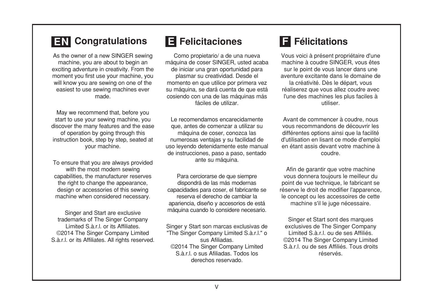### **EN** Congratulations

As the owner of a new SINGER sewing machine, you are about to begin an exciting adventure in creativity. From the moment you first use your machine, you will know you are sewing on one of the easiest to use sewing machines ever made.

May we recommend that, before you start to use your sewing machine, you discover the many features and the ease of operation by going through this instruction book, step by step, seated at vour machine.

To ensure that you are always provided with the most modern sewing capabilities, the manufacturer reserves the right to change the appearance, design or accessories of this sewing machine when considered necessary.

Singer and Start are exclusive trademarks of The Singer Company Limited S.à.r.l. or its Affiliates. ©2014 The Singer Company Limited S.à.r.l. or its Affiliates. All rights reserved.

## **E** Felicitaciones

Como propietario/ a de una nueva máquina de coser SINGER, usted acaba de iniciar una gran oportunidad para plasmar su creatividad. Desde el momento en que utilice por primera vez su máquina, se dará cuenta de que está cosiendo con una de las máquinas más fáciles de utilizar

Le recomendamos encarecidamente que, antes de comenzar a utilizar su máquina de coser, conozca las numerosas ventajas y su facilidad de uso levendo detenidamente este manual de instrucciones, paso a paso, sentado ante su máquina.

Para cerciorarse de que siempre dispondrá de las más modernas capacidades para coser, el fabricante se reserva el derecho de cambiar la apariencia, diseño y accesorios de está máquina cuando lo considere necesario.

Singer y Start son marcas exclusivas de "The Singer Company Limited S.à.r.l." o sus Afiliadas ©2014 The Singer Company Limited S à r Lo sus Afiliadas<sup>-</sup> Todos los derechos reservado.

## **El** Félicitations

Vous voici à présent propriétaire d'une machine à coudre SINGER, vous êtes sur le point de vous lancer dans une aventure excitante dans le domaine de la créativité. Dès le départ, vous réaliserez que vous allez coudre avec l'une des machines les plus faciles à utiliser

Avant de commencer à coudre, nous vous recommandons de découvrir les différentes options ainsi que la facilité d'utilisation en lisant ce mode d'emploi en étant assis devant votre machine à coudre

Afin de garantir que votre machine vous donnera toujours le meilleur du point de vue technique, le fabricant se réserve le droit de modifier l'apparence. le concept ou les accessoires de cette machine s'il le juge nécessaire.

Singer et Start sont des marques exclusives de The Singer Company Limited S.à.r.l. ou de ses Affiliés. ©2014 The Singer Company Limited S.à.r.l. ou de ses Affiliés. Tous droits réservés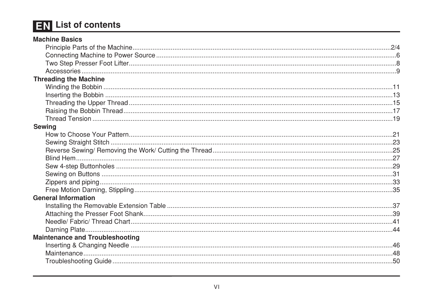## **EN** List of contents

| <b>Machine Basics</b>                  |  |
|----------------------------------------|--|
|                                        |  |
|                                        |  |
|                                        |  |
|                                        |  |
| <b>Threading the Machine</b>           |  |
|                                        |  |
|                                        |  |
|                                        |  |
|                                        |  |
|                                        |  |
| Sewing                                 |  |
|                                        |  |
|                                        |  |
|                                        |  |
|                                        |  |
|                                        |  |
|                                        |  |
|                                        |  |
|                                        |  |
| <b>General Information</b>             |  |
|                                        |  |
|                                        |  |
|                                        |  |
|                                        |  |
| <b>Maintenance and Troubleshooting</b> |  |
|                                        |  |
|                                        |  |
|                                        |  |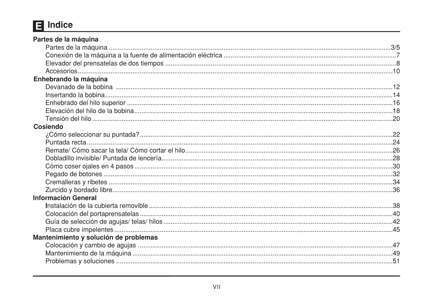## $\Box$  Indice

| Partes de la máquina                  |  |
|---------------------------------------|--|
|                                       |  |
|                                       |  |
|                                       |  |
|                                       |  |
| Enhebrando la máquina                 |  |
|                                       |  |
|                                       |  |
|                                       |  |
|                                       |  |
|                                       |  |
| Cosiendo                              |  |
|                                       |  |
|                                       |  |
|                                       |  |
|                                       |  |
|                                       |  |
|                                       |  |
|                                       |  |
|                                       |  |
| <b>Información General</b>            |  |
|                                       |  |
|                                       |  |
|                                       |  |
|                                       |  |
| Mantenimiento y solución de problemas |  |
|                                       |  |
|                                       |  |
|                                       |  |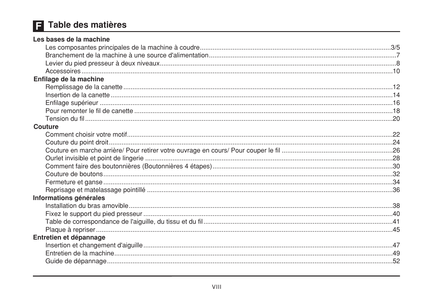## F Table des matières

| Les bases de la machine |  |
|-------------------------|--|
|                         |  |
|                         |  |
|                         |  |
|                         |  |
| Enfilage de la machine  |  |
|                         |  |
|                         |  |
|                         |  |
|                         |  |
|                         |  |
| Couture                 |  |
|                         |  |
|                         |  |
|                         |  |
|                         |  |
|                         |  |
|                         |  |
|                         |  |
|                         |  |
| Informations générales  |  |
|                         |  |
|                         |  |
|                         |  |
|                         |  |
| Entretien et dépannage  |  |
|                         |  |
|                         |  |
|                         |  |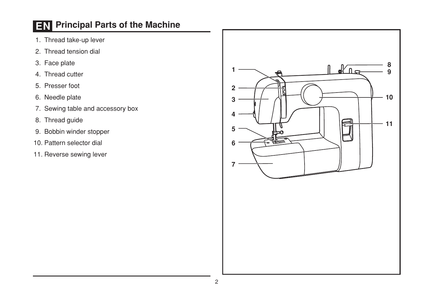## **EN** Principal Parts of the Machine

- 1. Thread take-up lever
- 2. Thread tension dial
- 3. Face plate
- 4. Thread cutter
- 5. Presser foot
- 6. Needle plate
- 7. Sewing table and accessory box
- 8. Thread guide
- 9. Bobbin winder stopper
- 10. Pattern selector dial
- 11. Reverse sewing lever

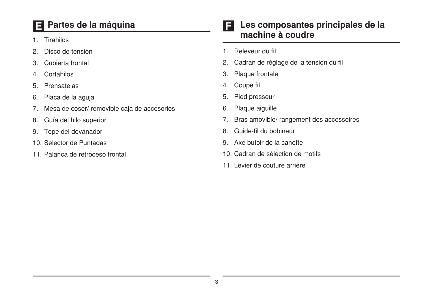## Partes de la máquina

- 1. Tirahilos
- Disco de tensión  $\mathcal{P}$
- Cubierta frontal  $\mathcal{B}_{\cdot}$
- Cortabilos  $4.$
- Prensatelas  $5.$
- 6. Placa de la aguja
- Mesa de coser/ removible caja de accesorios  $7.$
- Guía del hilo superior 8.
- Tope del devanador 9.
- 10. Selector de Puntadas
- 11. Palanca de retroceso frontal

#### Les composantes principales de la IF. machine à coudre

- 1. Releveur du fil
- Cadran de réglage de la tension du fil  $2.$
- Plaque frontale 3.
- Coupe fil  $4.$
- Pied presseur 5.
- Plaque aiquille 6.
- Bras amovible/ rangement des accessoires  $7<sub>1</sub>$
- Guide-fil du bobineur 8.
- Axe butoir de la canette  $9<sub>1</sub>$
- 10. Cadran de sélection de motifs
- 11. Levier de couture arrière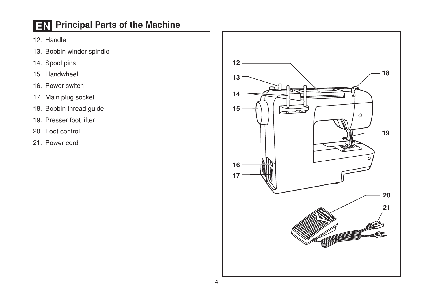## **EN** Principal Parts of the Machine

- 12. Handle
- 13. Bobbin winder spindle
- 14. Spool pins
- 15. Handwheel
- 16. Power switch
- 17. Main plug socket
- 18. Bobbin thread guide
- 19. Presser foot lifter
- 20. Foot control
- 21. Power cord

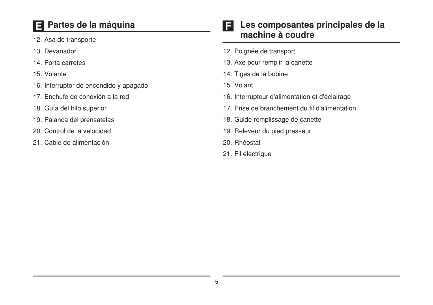## El Partes de la máquina

- 12. Asa de transporte
- 13. Devanador
- 14. Porta carretes
- 15. Volante
- 16. Interruptor de encendido y apagado
- 17. Enchufe de conexión a la red
- 18. Guía del hilo superior
- 19. Palanca del prensatelas
- 20. Control de la velocidad
- 21. Cable de alimentación

#### Les composantes principales de la F. machine à coudre

- 12. Poignée de transport
- 13. Axe pour remplir la canette
- 14. Tiges de la bobine
- 15. Volant
- 16. Interrupteur d'alimentation et d'éclairage
- 17. Prise de branchement du fil d'alimentation
- 18. Guide remplissage de canette
- 19. Releveur du pied presseur
- 20. Rhéostat
- 21. Fil électrique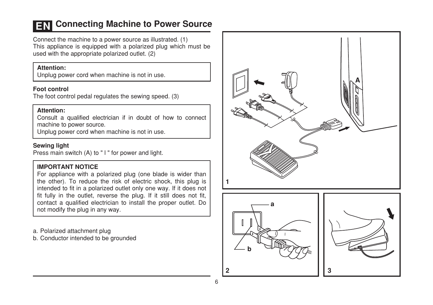### **EN Connecting Machine to Power Source**

Connect the machine to a power source as illustrated. (1) This appliance is equipped with a polarized plug which must be used with the appropriate polarized outlet. (2)

#### Attention:

Unplug power cord when machine is not in use.

#### **Foot control**

The foot control pedal regulates the sewing speed. (3)

#### Attention:

Consult a qualified electrician if in doubt of how to connect machine to power source.

Unplug power cord when machine is not in use.

#### **Sewing light**

Press main switch (A) to "I" for power and light.

#### **IMPORTANT NOTICE**

For appliance with a polarized plug (one blade is wider than the other). To reduce the risk of electric shock, this plug is intended to fit in a polarized outlet only one way. If it does not fit fully in the outlet, reverse the plug. If it still does not fit, contact a qualified electrician to install the proper outlet. Do not modify the plug in any way.

a. Polarized attachment plug

b. Conductor intended to be grounded





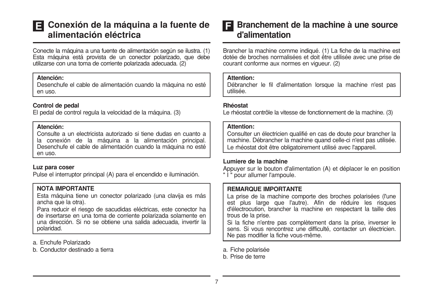### El Conexión de la máquina a la fuente de alimentación eléctrica

Conecte la máquina a una fuente de alimentación según se ilustra. (1) Esta máquina está provista de un conector polarizado, que debe utilizarse con una toma de corriente polarizada adecuada. (2)

#### Atención:

Desenchufe el cable de alimentación cuando la máquina no esté en uso.

#### Control de pedal

El pedal de control regula la velocidad de la máquina. (3)

#### Atención:

Consulte a un electricista autorizado si tiene dudas en cuanto a la conexión de la máquina a la alimentación principal. Desenchufe el cable de alimentación cuando la máquina no esté  $An$   $11S<sub>0</sub>$ 

#### Luz para coser

Pulse el interruptor principal (A) para el encendido e iluminación.

#### NOTA IMPORTANTE

Esta máquina tiene un conector polarizado (una clavija es más ancha que la otra).

Para reducir el riesgo de sacudidas eléctricas, este conector ha de insertarse en una toma de corriente polarizada solamente en una dirección. Si no se obtiene una salida adecuada, invertir la polaridad.

a. Enchufe Polarizado

b. Conductor destinado a tierra

#### Branchement de la machine à une source E d'alimentation

Brancher la machine comme indiqué. (1) La fiche de la machine est dotée de broches normalisées et doit être utilisée avec une prise de courant conforme aux normes en vigueur. (2)

#### **Attention:**

Débrancher le fil d'alimentation lorsque la machine n'est pas utilisée

#### Rhéostat

Le rhéostat contrôle la vitesse de fonctionnement de la machine. (3)

#### **Attention:**

Consulter un électricien qualifié en cas de doute pour brancher la machine. Débrancher la machine quand celle-ci n'est pas utilisée. Le rhéostat doit être obligatoirement utilisé avec l'appareil.

#### Lumiere de la machine

Appuver sur le bouton d'alimentation (A) et déplacer le en position " | " pour allumer l'ampoule.

#### **REMARQUE IMPORTANTE**

La prise de la machine comporte des broches polarisées (l'une est plus large que l'autre). Afin de réduire les risques d'électrocution, brancher la machine en respectant la taille des trous de la prise.

Si la fiche n'entre pas complètement dans la prise, inverser le sens. Si vous rencontrez une difficulté, contacter un électricien. Ne pas modifier la fiche vous-même.

- a. Fiche polarisée
- b. Prise de terre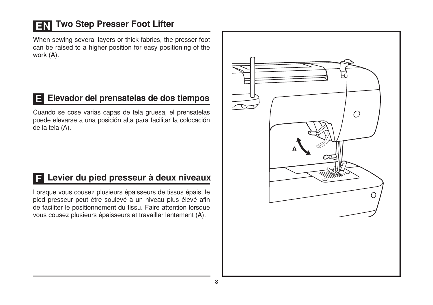## **EN Two Step Presser Foot Lifter**

When sewing several layers or thick fabrics, the presser foot can be raised to a higher position for easy positioning of the work (A).

## Elevador del prensatelas de dos tiempos

Cuando se cose varias capas de tela gruesa, el prensatelas puede elevarse a una posición alta para facilitar la colocación de la tela (A).

### El Levier du pied presseur à deux niveaux

Lorsque vous cousez plusieurs épaisseurs de tissus épais, le pied presseur peut être soulevé à un niveau plus élevé afin de faciliter le positionnement du tissu. Faire attention lorsque vous cousez plusieurs épaisseurs et travailler lentement (A).

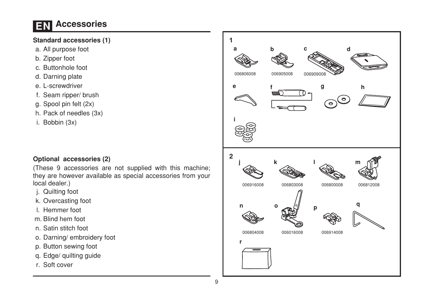## **EN Accessories**

#### **Standard accessories (1)**

- a. All purpose foot
- b. Zipper foot
- c. Buttonhole foot
- d. Darning plate
- e. L-screwdriver
- f. Seam ripper/ brush
- g. Spool pin felt (2x)
- h. Pack of needles (3x)
- i. Bobbin (3x)

#### Optional accessories (2)

(These 9 accessories are not supplied with this machine; they are however available as special accessories from your local dealer.)

- j. Quilting foot
- k. Overcasting foot
- I. Hemmer foot
- m. Blind hem foot
- n. Satin stitch foot
- o. Darning/embroidery foot
- p. Button sewing foot
- q. Edge/ quilting guide
- r. Soft cover

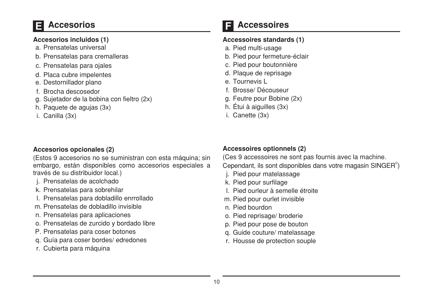## **Accesorios**

#### Accesorios incluidos (1)

- a Prensatelas universal
- b. Prensatelas para cremalleras
- c. Prensatelas para ojales
- d. Placa cubre impelentes
- e. Destornillador plano
- f Brocha descosedor
- g. Sujetador de la bobina con fieltro (2x)
- h. Paquete de agujas (3x)
- i. Canilla (3x)

#### Accesorios opcionales (2)

(Estos 9 accesorios no se suministran con esta máquina: sin embargo. están disponibles como accesorios especiales a través de su distribuidor local.)

- i. Prensatelas de acolchado
- k. Prensatelas para sobrehilar
- I. Prensatelas para dobladillo enrrollado
- m. Prensatelas de dobladillo invisible
- n. Prensatelas para aplicaciones
- o. Prensatelas de zurcido y bordado libre
- P. Prensatelas para coser botones
- g. Guía para coser bordes/edredones
- r. Cubierta para máquina

### **Accessoires**

#### Accessoires standards (1)

- a. Pied multi-usage
- b. Pied pour fermeture-éclair
- c. Pied pour boutonnière
- d. Plaque de reprisage
- e Tournevis I
- f. Brosse/Découseur
- g. Feutre pour Bobine (2x)
- h. Étui à aiguilles (3x)
- i. Canette (3x)

#### Accessoires optionnels (2)

(Ces 9 accessoires ne sont pas fournis avec la machine. Cependant, ils sont disponibles dans votre magasin SINGER<sup>®</sup>)

- j. Pied pour matelassage
- k. Pied pour surfilage
- L. Pied ourleur à semelle étroite
- m. Pied pour ourlet invisible
- n Pied bourdon
- o. Pied reprisage/ broderie
- p. Pied pour pose de bouton
- q. Guide couture/ matelassage
- r. Housse de protection souple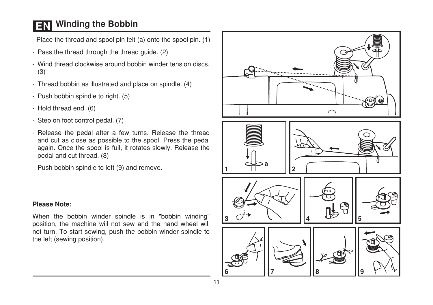## **EN** Winding the Bobbin

- Place the thread and spool pin felt (a) onto the spool pin. (1)
- Pass the thread through the thread guide. (2)
- Wind thread clockwise around bobbin winder tension discs  $(3)$
- Thread bobbin as illustrated and place on spindle. (4)
- Push bobbin spindle to right. (5)
- Hold thread end. (6)
- Step on foot control pedal. (7)
- Release the pedal after a few turns. Release the thread and cut as close as possible to the spool. Press the pedal again. Once the spool is full, it rotates slowly. Release the pedal and cut thread. (8)
- Push bobbin spindle to left (9) and remove.



#### **Please Note:**

When the bobbin winder spindle is in "bobbin winding" position, the machine will not sew and the hand wheel will not turn. To start sewing, push the bobbin winder spindle to the left (sewing position).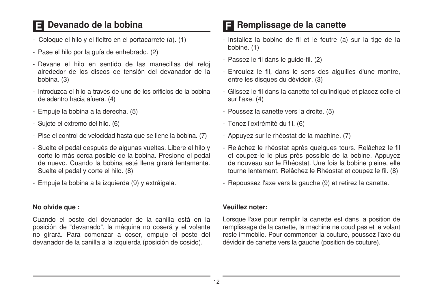## Devanado de la bobina

- Coloque el hilo y el fieltro en el portacarrete (a). (1)
- Pase el hilo por la guía de enhebrado. (2)
- Devane el hilo en sentido de las manecillas del reloj alrededor de los discos de tensión del devanador de la bobina. (3)
- Introduzca el hilo a través de uno de los orificios de la bobina de adentro hacia afuera. (4)
- Empuje la bobina a la derecha. (5)
- Sujete el extremo del hilo. (6)
- Pise el control de velocidad hasta que se llene la bobina. (7)
- Suelte el pedal después de algunas vueltas. Libere el hilo y corte lo más cerca posible de la bobina. Presione el pedal de nuevo. Cuando la bobina esté llena girará lentamente. Suelte el pedal y corte el hilo. (8)
- Empuje la bobina a la izquierda (9) y extráigala.

#### No olvide aue:

Cuando el poste del devanador de la canilla está en la posición de "devanado", la máquina no coserá y el volante no girará. Para comenzar a coser, empuje el poste del devanador de la canilla a la izquierda (posición de cosido).

### **E** Remplissage de la canette

- Installez la bobine de fil et le feutre (a) sur la tige de la bobine. (1)
- Passez le fil dans le guide-fil. (2)
- Enroulez le fil, dans le sens des aiguilles d'une montre, entre les disques du dévidoir. (3)
- Glissez le fil dans la canette tel qu'indiqué et placez celle-ci sur l'axe. (4)
- Poussez la canette vers la droite. (5)
- Tenez l'extrémité du fil. (6)
- Appuyez sur le rhéostat de la machine. (7)
- Relâchez le rhéostat après quelques tours. Relâchez le fil et coupez-le le plus près possible de la bobine. Appuyez de nouveau sur le Rhéostat. Une fois la bobine pleine, elle tourne lentement. Relâchez le Rhéostat et coupez le fil. (8)
- Repoussez l'axe vers la gauche (9) et retirez la canette.

#### Veuillez noter:

Lorsque l'axe pour remplir la canette est dans la position de remplissage de la canette, la machine ne coud pas et le volant reste immobile. Pour commencer la couture, poussez l'axe du dévidoir de canette vers la gauche (position de couture).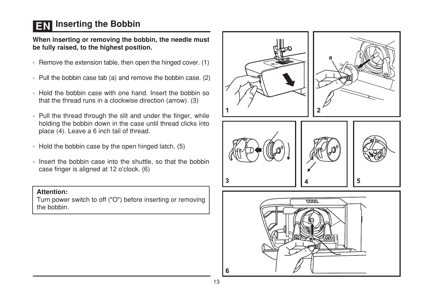## **EN** Inserting the Bobbin

When inserting or removing the bobbin, the needle must be fully raised, to the highest position.

- Remove the extension table, then open the hinged cover. (1)
- Pull the bobbin case tab (a) and remove the bobbin case. (2)
- Hold the bobbin case with one hand. Insert the bobbin so that the thread runs in a clockwise direction (arrow). (3)
- Pull the thread through the slit and under the finger, while holding the bobbin down in the case until thread clicks into place (4). Leave a 6 inch tail of thread.
- Hold the bobbin case by the open hinged latch. (5)
- Insert the bobbin case into the shuttle, so that the bobbin case finger is aligned at 12 o'clock. (6)

#### Attention:

Turn power switch to off ("O") before inserting or removing the bobbin.

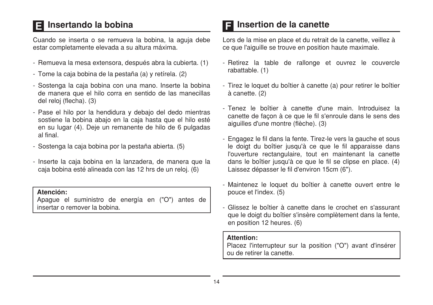## Insertando la bobina

Cuando se inserta o se remueva la bobina. la aguia debe estar completamente elevada a su altura máxima.

- Remueva la mesa extensora, después abra la cubierta. (1)
- Tome la caja bobina de la pestaña (a) y retírela. (2)
- Sostenga la caja bobina con una mano. Inserte la bobina de manera que el hilo corra en sentido de las manecillas del reloi (flecha). (3)
- Pase el hilo por la hendidura y debajo del dedo mientras sostiene la bobina abaio en la caja hasta que el hilo esté en su lugar (4). Deie un remanente de hilo de 6 pulgadas al final
- Sostenga la caja bobina por la pestaña abierta. (5)
- Inserte la caja bobina en la lanzadera, de manera que la caja bobina esté alineada con las 12 hrs de un reloj. (6)

#### Atención:

Apaque el suministro de energía en ("O") antes de insertar o remover la bobina.

### Insertion de la canette

Lors de la mise en place et du retrait de la canette, veillez à ce que l'aiquille se trouve en position haute maximale.

- Retirez la table de rallonge et ouvrez le couvercle rabattable. (1)
- Tirez le loquet du boîtier à canette (a) pour retirer le boîtier à canette. (2)
- Tenez le boîtier à canette d'une main Introduisez la canette de facon à ce que le fil s'enroule dans le sens des aiquilles d'une montre (flèche). (3)
- Engagez le fil dans la fente. Tirez-le vers la gauche et sous le doigt du boîtier jusqu'à ce que le fil apparaisse dans l'ouverture rectangulaire, tout en maintenant la canette dans le boîtier jusqu'à ce que le fil se clipse en place. (4) Laissez dépasser le fil d'environ 15cm (6").
- Maintenez le loquet du boîtier à canette ouvert entre le pouce et l'index. (5)
- Glissez le boîtier à canette dans le crochet en s'assurant que le doigt du boîtier s'insère complètement dans la fente. en position 12 heures. (6)

#### **Attention:**

Placez l'interrupteur sur la position ("O") avant d'insérer ou de retirer la canette.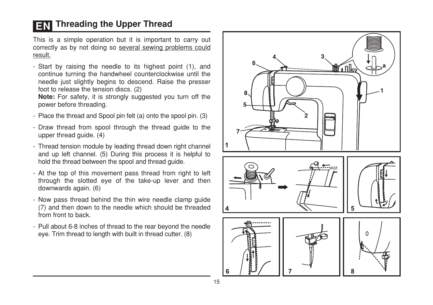## **EN** Threading the Upper Thread

This is a simple operation but it is important to carry out correctly as by not doing so several sewing problems could result.

- Start by raising the needle to its highest point (1), and continue turning the handwheel counterclockwise until the needle just slightly begins to descend. Raise the presser foot to release the tension discs. (2)

Note: For safety, it is strongly suggested you turn off the power before threading.

- Place the thread and Spool pin felt (a) onto the spool pin. (3)
- Draw thread from spool through the thread quide to the upper thread quide. (4)
- Thread tension module by leading thread down right channel and up left channel. (5) During this process it is helpful to hold the thread between the spool and thread quide.
- At the top of this movement pass thread from right to left through the slotted eve of the take-up lever and then downwards again. (6)
- Now pass thread behind the thin wire needle clamp quide (7) and then down to the needle which should be threaded from front to back
- Pull about 6-8 inches of thread to the rear beyond the needle eye. Trim thread to length with built in thread cutter. (8)

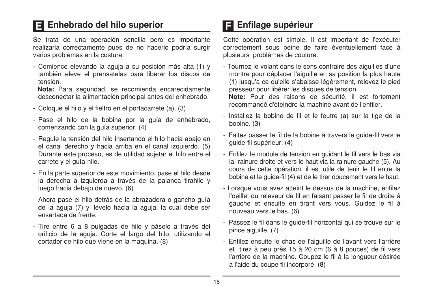## Enhebrado del hilo superior

Se trata de una operación sencilla pero es importante realizarla correctamente pues de no hacerlo podría surgir varios problemas en la costura.

- Comience elevando la aguja a su posición más alta (1) y también eleve el prensatelas para liberar los discos de tensión.

Nota: Para seguridad, se recomienda encarecidamente desconectar la alimentación principal antes del enhebrado.

- Coloque el hilo y el fieltro en el portacarrete (a). (3)
- Pase el hilo de la bobina por la quía de enhebrado, comenzando con la quía superior. (4)
- Regule la tensión del hilo insertando el hilo hacia abajo en el canal derecho y hacia arriba en el canal izquierdo. (5) Durante este proceso, es de utilidad sujetar el hilo entre el carrete y el quía-hilo.
- En la parte superior de este movimiento, pase el hilo desde la derecha a izquierda a través de la palanca tirahilo y luego hacia debaio de nuevo. (6)
- Ahora pase el hilo detrás de la abrazadera o gancho quía de la aquia (7) y llevelo hacia la aquia, la cual debe ser ensartada de frente.
- Tire entre 6 a 8 pulgadas de hilo y páselo a través del orificio de la aguja. Corte el largo del hilo, utilizando el cortador de hilo que viene en la maquina. (8)

## El Enfilage supérieur

Cette opération est simple. Il est important de l'exécuter correctement sous peine de faire éventuellement face à plusieurs problèmes de couture.

- Tournez le volant dans le sens contraire des aiguilles d'une montre pour déplacer l'aiquille en sa position la plus haute (1) iusqu'a ce qu'elle s'abaisse légèrement, relevez le pied presseur pour libérer les disques de tension.

Note: Pour des raisons de sécurité, il est fortement recommandé d'éteindre la machine avant de l'enfiler.

- Installez la bobine de fil et le feutre (a) sur la tige de la bobine. (3)
- Faites passer le fil de la bobine à travers le quide-fil vers le quide-fil supérieur. (4)
- Enfilez le module de tension en quidant le fil vers le bas via la rainure droite et vers le haut via la rainure gauche (5). Au cours de cette opération, il est utile de tenir le fil entre la bobine et le quide-fil (4) et de le tirer doucement vers le haut.
- Lorsque vous avez atteint le dessus de la machine, enfilez l'oeillet du releveur de fil en faisant passer le fil de droite à gauche et ensuite en tirant vers vous. Guidez le fil à nouveau vers le bas. (6)
- Passez le fil dans le guide-fil horizontal qui se trouve sur le pince aiguille. (7)
- Enfilez ensuite le chas de l'aiguille de l'avant vers l'arrière et tirez à peu près 15 à 20 cm (6 à 8 pouces) de fil vers l'arrière de la machine. Coupez le fil à la longueur désirée à l'aide du coupe fil incorporé. (8)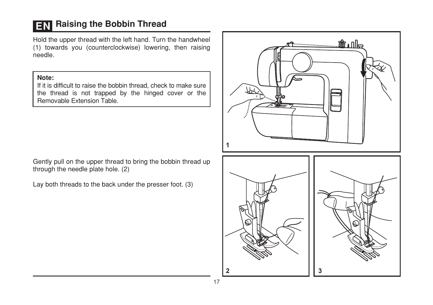## **EN** Raising the Bobbin Thread

Hold the upper thread with the left hand. Turn the handwheel (1) towards you (counterclockwise) lowering, then raising needle.

#### Note:

If it is difficult to raise the bobbin thread, check to make sure the thread is not trapped by the hinged cover or the Removable Extension Table.

Gently pull on the upper thread to bring the bobbin thread up through the needle plate hole. (2)

Lay both threads to the back under the presser foot. (3)

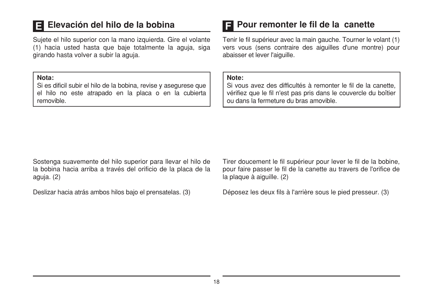### Elevación del hilo de la bobina

Sujete el hilo superior con la mano izquierda. Gire el volante (1) hacia usted hasta que baje totalmente la aquia, siga girando hasta volver a subir la aguia.

#### Nota:

Si es dificil subir el hilo de la bobina, revise y asegurese que el hilo no este atrapado en la placa o en la cubierta removible

### **El Pour remonter le fil de la canette**

Tenir le fil supérieur avec la main gauche. Tourner le volant (1) vers vous (sens contraire des aiguilles d'une montre) pour abaisser et lever l'aiquille.

#### Note:

Si vous avez des difficultés à remonter le fil de la canette. vérifiez que le fil n'est pas pris dans le couvercle du boîtier ou dans la fermeture du bras amovible.

Sostenga suavemente del hilo superior para llevar el hilo de la bobina hacia arriba a través del orificio de la placa de la aquia. (2)

Deslizar hacia atrás ambos hilos bajo el prensatelas. (3)

Tirer doucement le fil supérieur pour lever le fil de la bobine, pour faire passer le fil de la canette au travers de l'orifice de la plaque à ajouille. (2)

Déposez les deux fils à l'arrière sous le pied presseur. (3)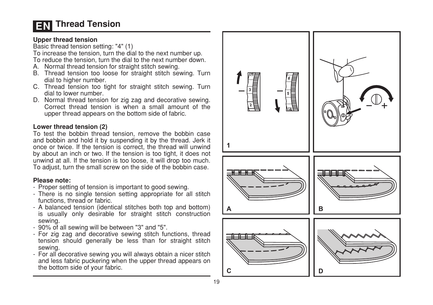## **Thread Tension**

#### Upper thread tension

Basic thread tension setting: "4" (1)

To increase the tension, turn the dial to the next number up.

- To reduce the tension, turn the dial to the next number down.
- A. Normal thread tension for straight stitch sewing.
- B. Thread tension too loose for straight stitch sewing. Turn dial to higher number.
- C. Thread tension too tight for straight stitch sewing. Turn dial to lower number.
- D. Normal thread tension for zig zag and decorative sewing. Correct thread tension is when a small amount of the upper thread appears on the bottom side of fabric.

#### Lower thread tension (2)

To test the bobbin thread tension, remove the bobbin case and bobbin and hold it by suspending it by the thread. Jerk it once or twice. If the tension is correct, the thread will unwind by about an inch or two. If the tension is too tight, it does not unwind at all. If the tension is too loose, it will drop too much. To adjust, turn the small screw on the side of the bobbin case.

#### Please note:

- Proper setting of tension is important to good sewing.
- There is no single tension setting appropriate for all stitch functions, thread or fabric.
- A balanced tension (identical stitches both top and bottom) is usually only desirable for straight stitch construction sewing.
- 90% of all sewing will be between "3" and "5".
- For zig zag and decorative sewing stitch functions, thread tension should generally be less than for straight stitch sewing.
- For all decorative sewing you will always obtain a nicer stitch and less fabric puckering when the upper thread appears on the bottom side of your fabric.

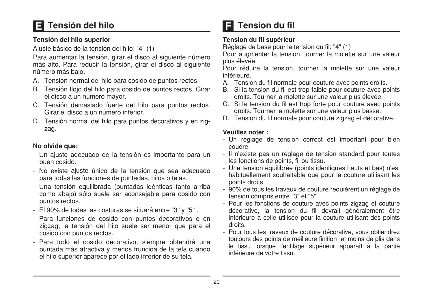## Tensión del hilo

#### Tensión del hilo superior

Ajuste básico de la tensión del hilo: "4" (1)

Para aumentar la tensión, girar el disco al siguiente número más alto. Para reducir la tensión, girar el disco al siguiente número más bajo.

- A. Tensión normal del hilo para cosido de puntos rectos.
- B. Tensión floio del hilo para cosido de puntos rectos. Girar el disco a un número mayor.
- C. Tensión demasiado fuerte del hilo para puntos rectos. Girar el disco a un número inferior.
- D. Tensión normal del hilo para puntos decorativos y en zigzag.

#### No olvide que:

- Un ajuste adecuado de la tensión es importante para un buen cosido.
- No existe ajuste único de la tensión que sea adecuado para todas las funciones de puntadas, hilos o telas.
- Una tensión equilibrada (puntadas idénticas tanto arriba como abajo) sólo suele ser aconsejable para cosido con puntos rectos.
- El 90% de todas las costuras se situará entre "3" y "5".
- Para funciones de cosido con puntos decorativos o en zigzag, la tensión del hilo suele ser menor que para el cosido con puntos rectos.
- Para todo el cosido decorativo, siempre obtendrá una puntada más atractiva y menos fruncida de la tela cuando el hilo superior aparece por el lado inferior de su tela.

## **Tension du fil**

#### Tension du fil supérieur

Réglage de base pour la tension du fil: "4" (1)

Pour augmenter la tension, tourner la molette sur une valeur plus élevée.

Pour réduire la tension, tourner la molette sur une valeur inférieure.

- A. Tension du fil normale pour couture avec points droits.
- B. Si la tension du fil est trop faible pour couture avec points droits. Tourner la molette sur une valeur plus élevée.
- C. Si la tension du fil est trop forte pour couture avec points droits. Tourner la molette sur une valeur plus basse.
- D. Tension du fil normale pour couture zigzag et décorative.

#### Veuillez noter:

- Un réglage de tension correct est important pour bien coudre.
- Il n'existe pas un réglage de tension standard pour toutes les fonctions de points, fil ou tissu.
- Une tension équilibrée (points identiques hauts et bas) n'est habituellement souhaitable que pour la couture utilisant les points droits.
- 90% de tous les travaux de couture requièrent un réglage de tension compris entre "3" et "5".
- Pour les fonctions de couture avec points zigzag et couture décorative, la tension du fil devrait généralement être inférieure à celle utilisée pour la couture utilisant des points droits.
- Pour tous les travaux de couture décorative, vous obtiendrez toujours des points de meilleure finition et moins de plis dans le tissu lorsque l'enfilage supérieur apparaît à la partie inférieure de votre tissu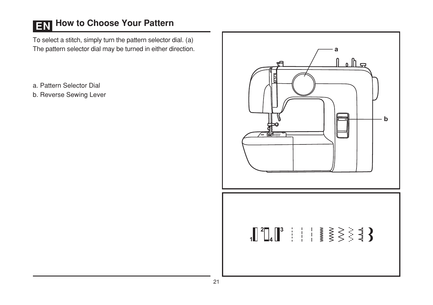# **EN** How to Choose Your Pattern

To select a stitch, simply turn the pattern selector dial. (a) The pattern selector dial may be turned in either direction.

a. Pattern Selector Dial

b. Reverse Sewing Lever

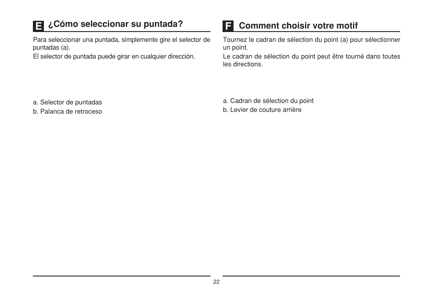## ¿Cómo seleccionar su puntada?

Para seleccionar una puntada, simplemente gire el selector de puntadas (a).

El selector de puntada puede girar en cualquier dirección.

#### ET **Comment choisir votre motif**

Tournez le cadran de sélection du point (a) pour sélectionner un point.

Le cadran de sélection du point peut être tourné dans toutes les directions.

a. Selector de puntadas

b. Palanca de retroceso

a. Cadran de sélection du point

b. Levier de couture arrière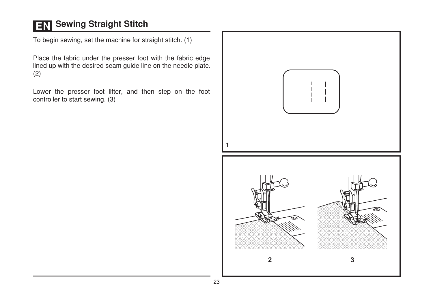## **EN** Sewing Straight Stitch

To begin sewing, set the machine for straight stitch. (1)

Place the fabric under the presser foot with the fabric edge lined up with the desired seam guide line on the needle plate.  $(2)$ 

Lower the presser foot lifter, and then step on the foot controller to start sewing. (3)

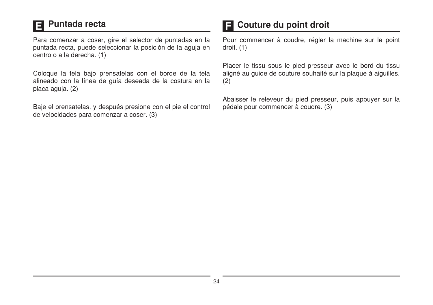#### **Puntada recta** E

Para comenzar a coser, gire el selector de puntadas en la puntada recta, puede seleccionar la posición de la aquia en centro o a la derecha. (1)

Coloque la tela bajo prensatelas con el borde de la tela alineado con la línea de quía deseada de la costura en la placa aguia. (2)

Baje el prensatelas, y después presione con el pie el control de velocidades para comenzar a coser. (3)

### **El** Couture du point droit

Pour commencer à coudre, régler la machine sur le point  $d$ roit.  $(1)$ 

Placer le tissu sous le pied presseur avec le bord du tissu aligné au quide de couture souhaité sur la plaque à aiguilles.  $(2)$ 

Abaisser le releveur du pied presseur, puis appuyer sur la pédale pour commencer à coudre. (3)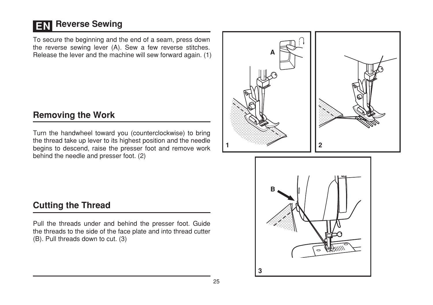## **EN Reverse Sewing**

To secure the beginning and the end of a seam, press down the reverse sewing lever (A). Sew a few reverse stitches. Release the lever and the machine will sew forward again. (1)

### **Removing the Work**

Turn the handwheel toward you (counterclockwise) to bring the thread take up lever to its highest position and the needle begins to descend, raise the presser foot and remove work behind the needle and presser foot. (2)





### **Cutting the Thread**

Pull the threads under and behind the presser foot. Guide the threads to the side of the face plate and into thread cutter (B). Pull threads down to cut. (3)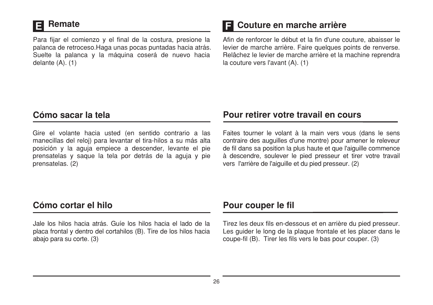### **Remate**

Para fijar el comienzo y el final de la costura, presione la palanca de retroceso. Haga unas pocas puntadas hacia atrás. Suelte la palanca y la máquina coserá de nuevo hacia delante  $(A)$ .  $(1)$ 

### **El Couture en marche arrière**

Afin de renforcer le début et la fin d'une couture, abaisser le levier de marche arrière. Faire quelques points de renverse. Relâchez le levier de marche arrière et la machine reprendra la couture vers l'avant (A). (1)

### Cómo sacar la tela

Gire el volante hacia usted (en sentido contrario a las manecillas del reloj) para levantar el tira-hilos a su más alta posición y la aguja empiece a descender, levante el pie prensatelas y saque la tela por detrás de la aguja y pie prensatelas. (2)

### Pour retirer votre travail en cours

Faites tourner le volant à la main vers vous (dans le sens contraire des auguilles d'une montre) pour amener le releveur de fil dans sa position la plus haute et que l'aiguille commence à descendre, soulever le pied presseur et tirer votre travail vers l'arrière de l'aiguille et du pied presseur. (2)

### Cómo cortar el hilo

Jale los hilos hacia atrás. Guíe los hilos hacia el lado de la placa frontal y dentro del cortahilos (B). Tire de los hilos hacia abajo para su corte. (3)

### Pour couper le fil

Tirez les deux fils en-dessous et en arrière du pied presseur. Les quider le long de la plaque frontale et les placer dans le coupe-fil (B). Tirer les fils vers le bas pour couper. (3)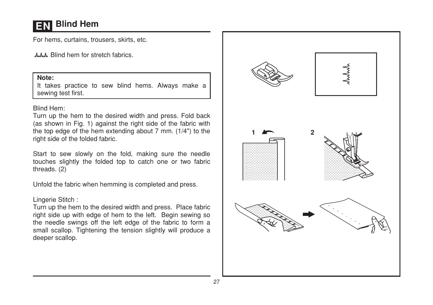## **Blind Hem**

For hems, curtains, trousers, skirts, etc.

July Blind hem for stretch fabrics.

#### Note:

It takes practice to sew blind hems. Always make a sewing test first.

#### Blind Hem:

Turn up the hem to the desired width and press. Fold back (as shown in Fig. 1) against the right side of the fabric with the top edge of the hem extending about 7 mm. (1/4") to the right side of the folded fabric.

Start to sew slowly on the fold, making sure the needle touches slightly the folded top to catch one or two fabric threads. (2)

Unfold the fabric when hemming is completed and press.

#### Lingerie Stitch:

Turn up the hem to the desired width and press. Place fabric right side up with edge of hem to the left. Begin sewing so the needle swings off the left edge of the fabric to form a small scallop. Tightening the tension slightly will produce a deeper scallop.

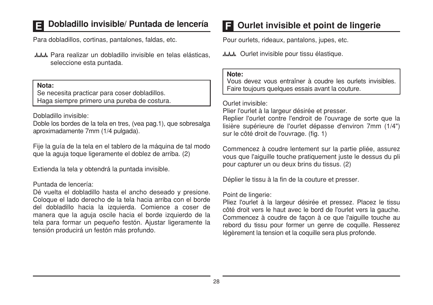### Dobladillo invisible/ Puntada de lencería

Para dobladillos. cortinas, pantalones, faldas, etc.

AAM, Para realizar un dobladillo invisible en telas elásticas. seleccione esta puntada.

Nota:

Se necesita practicar para coser dobladillos. Haga siempre primero una pureba de costura.

Dobladillo invisible:

Doble los bordes de la tela en tres. (vea pag.1), que sobresalga aproximadamente 7mm (1/4 pulgada).

Fije la quía de la tela en el tablero de la máquina de tal modo que la aquia toque ligeramente el doblez de arriba. (2)

Extienda la tela y obtendrá la puntada invisible.

#### Puntada de lencería:

Dé vuelta el dobladillo hasta el ancho deseado y presione. Coloque el lado derecho de la tela hacia arriba con el borde del dobladillo hacia la izquierda. Comience a coser de manera que la aguja oscile hacia el borde izquierdo de la tela para formar un pequeño festón. Ajustar ligeramente la tensión producirá un festón más profundo.

### **E** Ourlet invisible et point de lingerie

Pour ourlets, rideaux, pantalons, jupes, etc.

AMM Ourlet invisible pour tissu élastique.

#### Note:

Vous devez vous entraîner à coudre les ourlets invisibles Faire toujours quelques essais avant la couture.

#### Ourlet invisible:

Plier l'ourlet à la largeur désirée et presser.

Replier l'ourlet contre l'endroit de l'ouvrage de sorte que la lisière supérieure de l'ourlet dépasse d'environ 7mm (1/4") sur le côté droit de l'ouvrage. (fig. 1)

Commencez à coudre lentement sur la partie pliée, assurez vous que l'aiguille touche pratiquement juste le dessus du pli pour capturer un ou deux brins du tissus. (2)

Déplier le tissu à la fin de la couture et presser.

#### Point de lingerie:

Pliez l'ourlet à la largeur désirée et pressez. Placez le tissu côté droit vers le haut avec le bord de l'ourlet vers la gauche. Commencez à coudre de façon à ce que l'aiguille touche au rebord du tissu pour former un genre de coquille. Resserez légèrement la tension et la coquille sera plus profonde.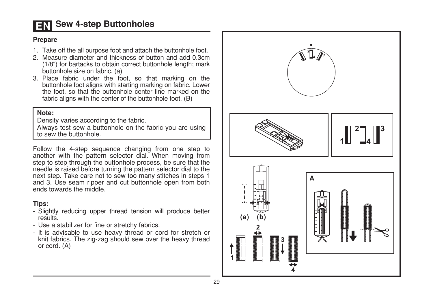### **EN Sew 4-step Buttonholes**

#### **Prepare**

- 1. Take off the all purpose foot and attach the buttonhole foot.
- 2. Measure diameter and thickness of button and add 0.3cm (1/8") for bartacks to obtain correct buttonhole length; mark buttonhole size on fabric. (a)
- 3. Place fabric under the foot, so that marking on the buttonhole foot aligns with starting marking on fabric. Lower the foot, so that the buttonhole center line marked on the fabric aligns with the center of the buttonhole foot. (B)

#### Note:

Density varies according to the fabric.

Always test sew a buttonhole on the fabric you are using to sew the buttonhole

Follow the 4-step sequence changing from one step to another with the pattern selector dial. When moving from step to step through the buttonhole process, be sure that the needle is raised before turning the pattern selector dial to the next step. Take care not to sew too many stitches in steps 1 and 3. Use seam ripper and cut buttonhole open from both ends towards the middle.

#### Tips:

- Slightly reducing upper thread tension will produce better results
- Use a stabilizer for fine or stretchy fabrics.
- It is advisable to use heavy thread or cord for stretch or knit fabrics. The zig-zag should sew over the heavy thread or cord. (A)

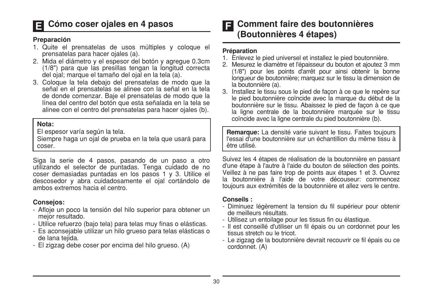### Cómo coser ojales en 4 pasos

#### Preparación

- 1. Quite el prensatelas de usos múltiples y cologue el prensatelas para hacer ojales (a).
- 2. Mida el diámetro y el espesor del botón y agregue 0.3cm (1/8") para que las presillas tengan la longitud correcta del ojal; marque el tamaño del ojal en la tela (a).
- 3. Cologue la tela debajo del prensatelas de modo que la señal en el prensatelas se alinee con la señal en la tela de donde comenzar. Baie el prensatelas de modo que la línea del centro del botón que esta señalada en la tela se alinee con el centro del prensatelas para hacer ojales (b).

#### Nota:

El espesor varía según la tela.

Siempre haga un oial de prueba en la tela que usará para coser.

Siga la serie de 4 pasos, pasando de un paso a otro utilizando el selector de puntadas. Tenga cuidado de no coser demasiadas puntadas en los pasos 1 y 3. Utilice el descosedor y abra cuidadosamente el ojal cortándolo de ambos extremos hacia el centro

#### **Consejos:**

- Afloje un poco la tensión del hilo superior para obtener un mejor resultado.
- Utilice refuerzo (bajo tela) para telas muy finas o elásticas.
- Es aconsejable utilizar un hilo grueso para telas elásticas o de lana teiida.
- El zigzag debe coser por encima del hilo grueso. (A)

#### **Comment faire des boutonnières** EI (Boutonnières 4 étapes)

#### Préparation

- 1. Enlevez le pied universel et installez le pied boutonnière.
- 2. Mesurez le diamètre et l'épaisseur du bouton et ajoutez 3 mm (1/8") pour les points d'arrêt pour ainsi obtenir la bonne longueur de boutonnière: marquez sur le tissu la dimension de la boutonnière (a).
- 3. Installez le tissu sous le pied de facon à ce que le repère sur le pied boutonnière coïncide avec la marque du début de la boutonnière sur le tissu. Abaissez le pied de facon à ce que la ligne centrale de la boutonnière marquée sur le tissu coïncide avec la ligne centrale du pied boutonnière (b).

Remarque: La densité varie suivant le tissu. Faites toujours l'essai d'une boutonnière sur un échantillion du même tissu à être utilisé.

Suivez les 4 étapes de réalisation de la boutonnière en passant d'une étape à l'autre à l'aide du bouton de sélection des points. Veillez à ne pas faire trop de points aux étapes 1 et 3. Ouvrez la boutonnière à l'aide de votre découseur: commencez toujours aux extrémités de la boutonnière et allez vers le centre.

#### Conseils:

- Diminuez légèrement la tension du fil supérieur pour obtenir de meilleurs résultats
- Utilisez un entoilage pour les tissus fin ou élastique.
- Il est conseillé d'utiliser un fil épais ou un cordonnet pour les tissus stretch ou le tricot.
- Le zigzag de la boutonnière devrait recouvrir ce fil épais ou ce cordonnet. (A)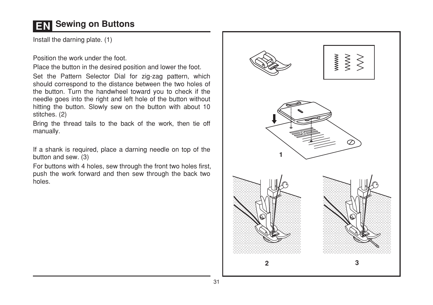### **EN** Sewing on Buttons

Install the darning plate. (1)

Position the work under the foot.

Place the button in the desired position and lower the foot.

Set the Pattern Selector Dial for zig-zag pattern, which should correspond to the distance between the two holes of the button. Turn the handwheel toward you to check if the needle goes into the right and left hole of the button without hitting the button. Slowly sew on the button with about 10 stitches. (2)

Bring the thread tails to the back of the work, then tie off manually.

If a shank is required, place a darning needle on top of the button and sew. (3)

For buttons with 4 holes, sew through the front two holes first, push the work forward and then sew through the back two holes.

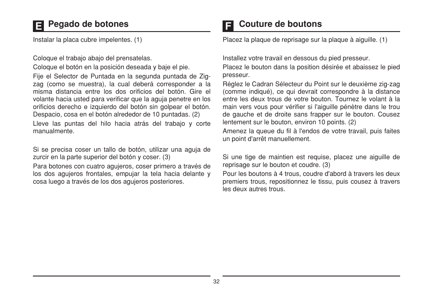### Pegado de botones

Instalar la placa cubre impelentes. (1)

Coloque el trabajo abajo del prensatelas.

Coloque el botón en la posición deseada y baje el pie.

Fije el Selector de Puntada en la segunda puntada de Zigzag (como se muestra), la cual deberá corresponder a la misma distancia entre los dos orificios del botón. Gire el volante hacia usted para verificar que la aquia penetre en los orificios derecho e izquierdo del botón sin golpear el botón. Despacio, cosa en el botón alrededor de 10 puntadas. (2)

Lleve las puntas del hilo hacia atrás del trabajo y corte manualmente.

Si se precisa coser un tallo de botón, utilizar una aguja de zurcir en la parte superior del botón y coser. (3)

Para botones con cuatro agujeros, coser primero a través de los dos agujeros frontales, empujar la tela hacia delante y cosa luego a través de los dos agujeros posteriores.

### Couture de boutons

Placez la plaque de reprisage sur la plaque à aiguille. (1)

Installez votre travail en dessous du pied presseur.

Placez le bouton dans la position désirée et abaissez le pied presseur.

Réglez le Cadran Sélecteur du Point sur le deuxième zig-zag (comme indiqué), ce qui devrait correspondre à la distance entre les deux trous de votre bouton. Tournez le volant à la main vers vous pour vérifier si l'aiguille pénètre dans le trou de gauche et de droite sans frapper sur le bouton. Cousez lentement sur le bouton, environ 10 points. (2)

Amenez la queue du fil à l'endos de votre travail, puis faites un point d'arrêt manuellement.

Si une tige de maintien est requise, placez une aiguille de reprisage sur le bouton et coudre. (3)

Pour les boutons à 4 trous, coudre d'abord à travers les deux premiers trous, repositionnez le tissu, puis cousez à travers les deux autres trous.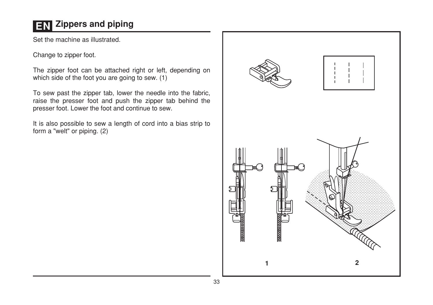## **EN Zippers and piping**

Set the machine as illustrated.

Change to zipper foot.

The zipper foot can be attached right or left, depending on which side of the foot you are going to sew. (1)

To sew past the zipper tab, lower the needle into the fabric, raise the presser foot and push the zipper tab behind the presser foot. Lower the foot and continue to sew.

It is also possible to sew a length of cord into a bias strip to form a "welt" or piping. (2)

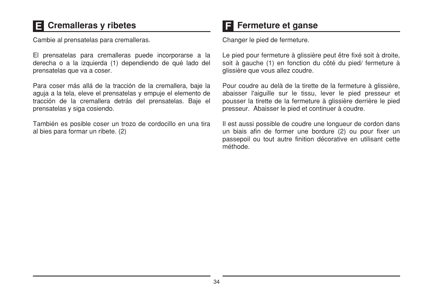## **E** Cremalleras y ribetes

Cambie al prensatelas para cremalleras.

El prensatelas para cremalleras puede incorporarse a la derecha o a la izquierda (1) dependiendo de qué lado del prensatelas que va a coser.

Para coser más allá de la tracción de la cremallera, baje la aguja a la tela, eleve el prensatelas y empuje el elemento de tracción de la cremallera detrás del prensatelas. Baje el prensatelas y siga cosiendo.

También es posible coser un trozo de cordocillo en una tira al bies para formar un ribete. (2)

### $\mathbf F$  Fermeture et ganse

Changer le pied de fermeture.

Le pied pour fermeture à glissière peut être fixé soit à droite, soit à gauche (1) en fonction du côté du pied/fermeture à glissière que vous allez coudre.

Pour coudre au delà de la tirette de la fermeture à glissière, abaisser l'aiguille sur le tissu, lever le pied presseur et pousser la tirette de la fermeture à glissière derrière le pied presseur. Abaisser le pied et continuer à coudre.

Il est aussi possible de coudre une longueur de cordon dans un biais afin de former une bordure (2) ou pour fixer un passepoil ou tout autre finition décorative en utilisant cette méthode.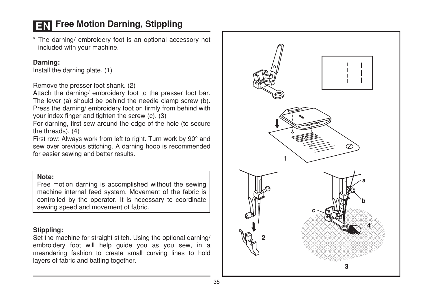### **EN** Free Motion Darning, Stippling

\* The darning/ embroidery foot is an optional accessory not included with your machine.

#### Darning:

Install the darning plate. (1)

Remove the presser foot shank. (2)

Attach the darning/ embroidery foot to the presser foot bar. The lever (a) should be behind the needle clamp screw (b). Press the darning/embroidery foot on firmly from behind with your index finger and tighten the screw (c). (3)

For darning, first sew around the edge of the hole (to secure the threads). (4)

First row: Always work from left to right. Turn work by 90° and sew over previous stitching. A darning hoop is recommended for easier sewing and better results.

#### Note:

Free motion darning is accomplished without the sewing machine internal feed system. Movement of the fabric is controlled by the operator. It is necessary to coordinate sewing speed and movement of fabric.

#### Stippling:

Set the machine for straight stitch. Using the optional darning/ embroidery foot will help guide you as you sew, in a meandering fashion to create small curving lines to hold layers of fabric and batting together.

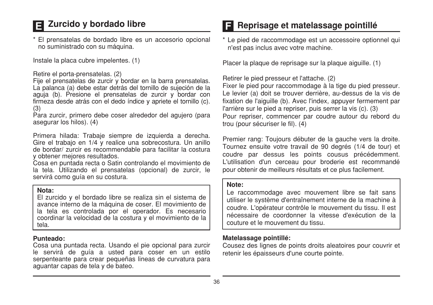### El Zurcido y bordado libre

\* El prensatelas de bordado libre es un accesorio opcional no suministrado con su máquina.

Instale la placa cubre impelentes. (1)

#### Retire el porta-prensatelas. (2)

Fije el prensatelas de zurcir y bordar en la barra prensatelas. La palanca (a) debe estar detrás del tornillo de sujeción de la aquia (b). Presione el prensatelas de zurcir y bordar con firmeza desde atrás con el dedo índice y apriete el tornillo (c).  $(3)$ 

Para zurcir, primero debe coser alrededor del agujero (para asegurar los hilos). (4)

Primera hilada: Trabaie siempre de izquierda a derecha. Gire el trabajo en 1/4 y realice una sobrecostura. Un anillo de bordar/ zurcir es recommendable para facilitar la costura v obtener mejores resultados.

Cosa en puntada recta o Satin controlando el movimiento de la tela. Utilizando el prensatelas (opcional) de zurcir, le servirá como quía en su costura.

#### Nota:

El zurcido y el bordado libre se realiza sin el sistema de avance interno de la máquina de coser. El movimiento de la tela es controlada por el operador. Es necesario coordinar la velocidad de la costura y el movimiento de la tela

#### Punteado:

Cosa una puntada recta. Usando el pie opcional para zurcir le servirá de guía a usted para coser en un estilo serpenteante para crear pequeñas lineas de curvatura para aguantar capas de tela y de bateo.

### **El Reprisage et matelassage pointillé**

\* Le pied de raccommodage est un accessoire optionnel qui n'est pas inclus avec votre machine.

Placer la plaque de reprisage sur la plaque aiguille. (1)

Retirer le pied presseur et l'attache. (2)

Fixer le pied pour raccommodage à la tige du pied presseur. Le levier (a) doit se trouver derrière, au-dessus de la vis de fixation de l'aiguille (b). Avec l'index, appuyer fermement par l'arrière sur le pied a repriser, puis serrer la vis (c). (3) Pour repriser, commencer par coudre autour du rebord du trou (pour sécuriser le fil), (4)

Premier rang: Toujours débuter de la gauche vers la droite. Tournez ensuite votre travail de 90 degrés (1/4 de tour) et coudre par dessus les points cousus précédemment. L'utilisation d'un cerceau pour broderie est recommandé pour obtenir de meilleurs résultats et ce plus facilement.

#### Note:

Le raccommodage avec mouvement libre se fait sans utiliser le système d'entraînement interne de la machine à coudre. L'opérateur contrôle le mouvement du tissu. Il est nécessaire de coordonner la vitesse d'exécution de la couture et le mouvement du tissu.

#### Matelassage pointillé:

Cousez des lignes de points droits aleatoires pour couvrir et retenir les épaisseurs d'une courte pointe.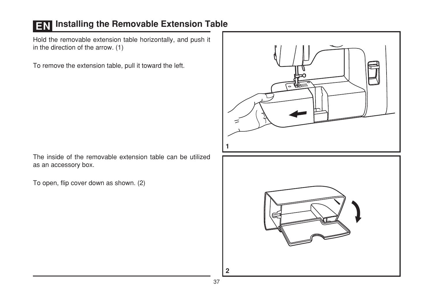## **EN Installing the Removable Extension Table**

Hold the removable extension table horizontally, and push it in the direction of the arrow. (1)

To remove the extension table, pull it toward the left.

The inside of the removable extension table can be utilized as an accessory box.

To open, flip cover down as shown. (2)

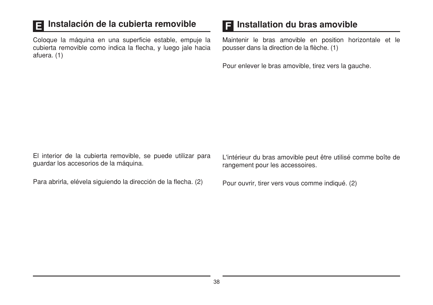#### Instalación de la cubierta removible E

Coloque la máquina en una superficie estable, empuje la cubierta removible como indica la flecha, y luego jale hacia afuera. (1)

### **El Installation du bras amovible**

Maintenir le bras amovible en position horizontale et le pousser dans la direction de la flèche. (1)

Pour enlever le bras amovible, tirez vers la gauche.

El interior de la cubierta removible, se puede utilizar para guardar los accesorios de la máquina.

Para abrirla, elévela siguiendo la dirección de la flecha. (2)

L'intérieur du bras amovible peut être utilisé comme boîte de rangement pour les accessoires.

Pour ouvrir, tirer vers vous comme indiqué. (2)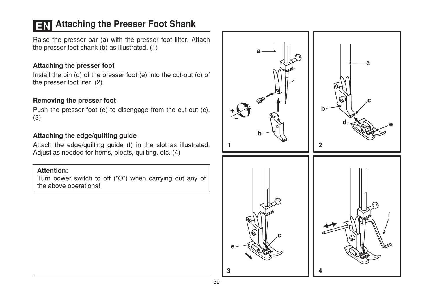### **EN** Attaching the Presser Foot Shank

Raise the presser bar (a) with the presser foot lifter. Attach the presser foot shank (b) as illustrated. (1)

#### Attaching the presser foot

Install the pin (d) of the presser foot (e) into the cut-out (c) of the presser foot lifer. (2)

#### Removing the presser foot

Push the presser foot (e) to disengage from the cut-out (c).  $(3)$ 

#### Attaching the edge/guilting guide

Attach the edge/guilting guide (f) in the slot as illustrated. Adjust as needed for hems, pleats, quilting, etc. (4)

#### **Attention:**

Turn power switch to off ("O") when carrying out any of the above operations!

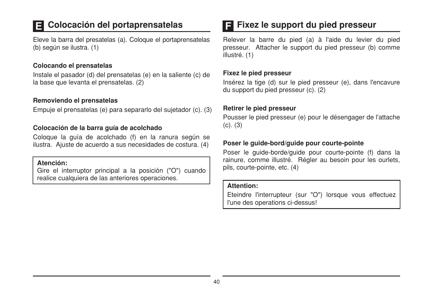## Colocación del portaprensatelas

Eleve la barra del presatelas (a). Coloque el portaprensatelas (b) según se ilustra. (1)

#### Colocando el prensatelas

Instale el pasador (d) del prensatelas (e) en la saliente (c) de la base que levanta el prensatelas. (2)

#### Removiendo el prensatelas

Empuje el prensatelas (e) para separarlo del sujetador (c). (3)

#### Colocación de la barra quía de acolchado

Coloque la quía de acolchado (f) en la ranura según se ilustra. Ajuste de acuerdo a sus necesidades de costura. (4)

#### Atención:

Gire el interruptor principal a la posición ("O") cuando realice cualquiera de las anteriores operaciones.

### $\blacksquare$  Fixez le support du pied presseur

Relever la barre du pied (a) à l'aide du levier du pied presseur. Attacher le support du pied presseur (b) comme illustré, (1)

#### Fixez le pied presseur

Insérez la tige (d) sur le pied presseur (e), dans l'encavure du support du pied presseur (c), (2)

#### Retirer le pied presseur

Pousser le pied presseur (e) pour le désengager de l'attache  $(c)$ .  $(3)$ 

#### Poser le quide-bord/quide pour courte-pointe

Poser le quide-borde/quide pour courte-pointe (f) dans la rainure, comme illustré. Régler au besoin pour les ourlets, pils, courte-pointe, etc. (4)

#### **Attention:**

Eteindre l'interrupteur (sur "O") lorsque vous effectuez l'une des operations ci-dessus!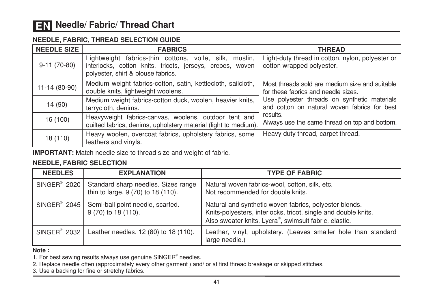#### NEEDLE, FABRIC, THREAD SELECTION GUIDE

| <b>NEEDLE SIZE</b> | <b>FABRICS</b>                                                                                                                                            | <b>THREAD</b>                                                                                                                                             |  |
|--------------------|-----------------------------------------------------------------------------------------------------------------------------------------------------------|-----------------------------------------------------------------------------------------------------------------------------------------------------------|--|
| $9-11(70-80)$      | Lightweight fabrics-thin cottons, voile, silk, muslin,<br>interlocks, cotton knits, tricots, jerseys, crepes, woven<br>polyester, shirt & blouse fabrics. | Light-duty thread in cotton, nylon, polyester or<br>cotton wrapped polyester.                                                                             |  |
| 11-14 (80-90)      | Medium weight fabrics-cotton, satin, kettlecloth, sailcloth,<br>double knits, lightweight woolens.                                                        | Most threads sold are medium size and suitable<br>for these fabrics and needle sizes.                                                                     |  |
| 14 (90)            | Medium weight fabrics-cotton duck, woolen, heavier knits,<br>terrycloth, denims.                                                                          | Use polyester threads on synthetic materials<br>and cotton on natural woven fabrics for best<br>results.<br>Always use the same thread on top and bottom. |  |
| 16 (100)           | Heavyweight fabrics-canvas, woolens, outdoor tent and<br>quilted fabrics, denims, upholstery material (light to medium).                                  |                                                                                                                                                           |  |
| 18 (110)           | Heavy woolen, overcoat fabrics, upholstery fabrics, some<br>leathers and vinyls.                                                                          | Heavy duty thread, carpet thread.                                                                                                                         |  |

**IMPORTANT:** Match needle size to thread size and weight of fabric.

#### **NEEDLE, FABRIC SELECTION**

| <b>NEEDLES</b>           | <b>EXPLANATION</b>                                                                       | <b>TYPE OF FABRIC</b>                                                                                                                                                             |
|--------------------------|------------------------------------------------------------------------------------------|-----------------------------------------------------------------------------------------------------------------------------------------------------------------------------------|
|                          | SINGER® 2020   Standard sharp needles. Sizes range<br>thin to large. 9 (70) to 18 (110). | Natural woven fabrics-wool, cotton, silk, etc.<br>Not recommended for double knits.                                                                                               |
|                          | SINGER <sup>®</sup> 2045   Semi-ball point needle, scarfed.<br>9 (70) to 18 (110).       | Natural and synthetic woven fabrics, polyester blends.<br>Knits-polyesters, interlocks, tricot, single and double knits.<br>Also sweater knits, Lycra®, swimsuit fabric, elastic. |
| SINGER <sup>®</sup> 2032 | Leather needles. 12 (80) to 18 (110).                                                    | Leather, vinyl, upholstery. (Leaves smaller hole than standard<br>large needle.)                                                                                                  |

#### Note:

1. For best sewing results always use genuine SINGER® needles.

2. Replace needle often (approximately every other garment) and/ or at first thread breakage or skipped stitches.

3. Use a backing for fine or stretchy fabrics.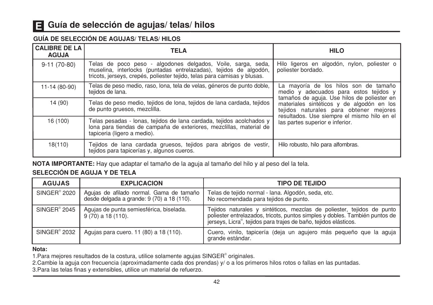### Guía de selección de agujas/ telas/ hilos

#### **GUÍA DE SELECCIÓN DE AGUJAS/ TELAS/ HILOS**

| <b>CALIBRE DE LA</b><br><b>AGUJA</b> | <b>TELA</b>                                                                                                                                                                                                   | <b>HILO</b>                                                                                                                                                                                                          |  |
|--------------------------------------|---------------------------------------------------------------------------------------------------------------------------------------------------------------------------------------------------------------|----------------------------------------------------------------------------------------------------------------------------------------------------------------------------------------------------------------------|--|
| $9-11(70-80)$                        | Telas de poco peso - algodones delgados, Voile, sarga, seda,<br>muselina, interlocks (puntadas entrelazadas), tejidos de algodón,<br>tricots, jerseys, crepés, poliester tejido, telas para camisas y blusas. | Hilo ligeros en algodón, nylon, poliester o<br>poliester bordado.                                                                                                                                                    |  |
| 11-14 (80-90)                        | Telas de peso medio, raso, lona, tela de velas, géneros de punto doble,<br>tejidos de lana.                                                                                                                   | La mayoría de los hilos son de tamaño<br>medio y adecuados para estos tejidos y                                                                                                                                      |  |
| 14 (90)                              | Telas de peso medio, tejidos de lona, tejidos de lana cardada, tejidos<br>de punto gruesos, mezclilla.                                                                                                        | tamaños de aquia. Use hilos de poliester en<br>materiales sintéticos y de algodón en los<br>tejidos naturales para obtener mejores<br>resultados. Use siempre el mismo hilo en el<br>las partes superior e inferior. |  |
| 16 (100)                             | Telas pesadas - Ionas, tejidos de lana cardada, tejidos acolchados y<br>lona para tiendas de campaña de exteriores, mezclillas, material de<br>tapiceria (ligero a medio).                                    |                                                                                                                                                                                                                      |  |
| 18(110)                              | Tejidos de lana cardada gruesos, tejidos para abrigos de vestir,<br>tejidos para tapicerías y, algunos cueros.                                                                                                | Hilo robusto, hilo para alfombras.                                                                                                                                                                                   |  |

NOTA IMPORTANTE: Hay que adaptar el tamaño de la aguja al tamaño del hilo y al peso del la tela.

#### SELECCIÓN DE AGUJA Y DE TELA

| <b>AGUJAS</b>            | <b>EXPLICACION</b>                                                                     | <b>TIPO DE TEJIDO</b>                                                                                                                                                                                                     |
|--------------------------|----------------------------------------------------------------------------------------|---------------------------------------------------------------------------------------------------------------------------------------------------------------------------------------------------------------------------|
| SINGER <sup>®</sup> 2020 | Aquias de afilado normal. Gama de tamaño<br>desde delgada a grande: 9 (70) a 18 (110). | Telas de tejido normal - lana. Algodón, seda, etc.<br>No recomendada para tejidos de punto.                                                                                                                               |
| $SINGER^{\circ} 2045$    | Agujas de punta semiesférica, biselada.<br>$9(70)$ a 18 (110).                         | Tejidos naturales y sintéticos, mezclas de poliester, tejidos de punto<br>poliester entrelazados, tricots, puntos simples y dobles. También puntos de<br>jerseys, Licra®, tejidos para trajes de baño, tejidos elásticos. |
| SINGER <sup>®</sup> 2032 | Agujas para cuero. 11 (80) a 18 (110).                                                 | Cuero, vinilo, tapicería (deja un agujero más pequeño que la aguja<br>grande estándar.                                                                                                                                    |

#### Nota:

1. Para mejores resultados de la costura, utilice solamente agujas SINGER® originales.

2. Cambie la aguja con frecuencia (aproximadamente cada dos prendas) y/ o a los primeros hilos rotos o fallas en las puntadas.

3. Para las telas finas y extensibles, utilice un material de refuerzo.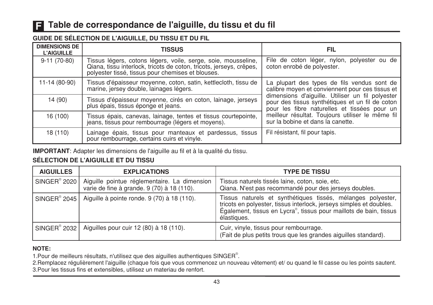### Table de correspondance de l'aiguille, du tissu et du fil

#### **GUIDE DE SÉLECTION DE L'AIGUILLE, DU TISSU ET DU FIL**

| <b>DIMENSIONS DE</b><br><b>L'AIGUILLE</b> | <b>TISSUS</b>                                                                                                                                                                          | FIL                                                                                                                                                                                                                                                                                                                                            |  |
|-------------------------------------------|----------------------------------------------------------------------------------------------------------------------------------------------------------------------------------------|------------------------------------------------------------------------------------------------------------------------------------------------------------------------------------------------------------------------------------------------------------------------------------------------------------------------------------------------|--|
| $9-11(70-80)$                             | Tissus légers, cotons légers, voile, serge, soie, mousseline, Qiana, tissu interlock, tricots de coton, tricots, jerseys, crêpes,<br>polyester tissé, tissus pour chemises et blouses. | File de coton léger, nylon, polyester ou de<br>coton enrobé de polyester.                                                                                                                                                                                                                                                                      |  |
| 11-14 (80-90)                             | Tissus d'épaisseur moyenne, coton, satin, kettlecloth, tissu de marine, jersey double, lainages légers.                                                                                | La plupart des types de fils vendus sont de<br>calibre moven et conviennent pour ces tissus et<br>dimensions d'aiguille. Utiliser un fil polyester<br>pour des tissus synthétiques et un fil de coton<br>pour les fibre naturelles et tissées pour un<br>meilleur résultat. Toujours utiliser le même fil<br>sur la bobine et dans la canette. |  |
| 14 (90)                                   | Tissus d'épaisseur moyenne, cirés en coton, lainage, jerseys<br>plus épais, tissus éponge et jeans.                                                                                    |                                                                                                                                                                                                                                                                                                                                                |  |
| 16 (100)                                  | Tissus épais, canevas, lainage, tentes et tissus courtepointe,<br>jeans, tissus pour rembourrage (légers et moyens).                                                                   |                                                                                                                                                                                                                                                                                                                                                |  |
| 18 (110)                                  | Lainage épais, tissus pour manteaux et pardessus, tissus pour rembourrage, certains cuirs et vinyle.                                                                                   | Fil résistant, fil pour tapis.                                                                                                                                                                                                                                                                                                                 |  |

IMPORTANT: Adapter les dimensions de l'aiguille au fil et à la qualité du tissu.

#### SÉLECTION DE L'AIGUILLE ET DU TISSU

| <b>AIGUILLES</b>         | <b>EXPLICATIONS</b>                                                                        | <b>TYPE DE TISSU</b>                                                                                                                                                                                                   |
|--------------------------|--------------------------------------------------------------------------------------------|------------------------------------------------------------------------------------------------------------------------------------------------------------------------------------------------------------------------|
| SINGER <sup>®</sup> 2020 | Aiguille pointue réglementaire. La dimension<br>varie de fine à grande. 9 (70) à 18 (110). | Tissus naturels tissés laine, coton, soie, etc.<br>Qiana. N'est pas recommandé pour des jerseys doubles.                                                                                                               |
| $SINGER^{\circ}$ 2045    | Aiguille à pointe ronde. 9 (70) à 18 (110).                                                | Tissus naturels et synthétiques tissés, mélanges polyester,<br>tricots en polyester, tissus interlock, jerseys simples et doubles.<br>Également, tissus en Lycra®, tissus pour maillots de bain, tissus<br>élastiques. |
| SINGER <sup>®</sup> 2032 | Aiguilles pour cuir 12 (80) à 18 (110).                                                    | Cuir, vinyle, tissus pour rembourrage.<br>(Fait de plus petits trous que les grandes aiguilles standard).                                                                                                              |

#### NOTE:

1. Pour de meilleurs résultats, n'utilisez que des aiguilles authentiques SINGER®.

2. Remplacez régulièrement l'aiguille (chaque fois que vous commencez un nouveau vêtement) et/ ou quand le fil casse ou les points sautent. 3. Pour les tissus fins et extensibles, utilisez un materiau de renfort.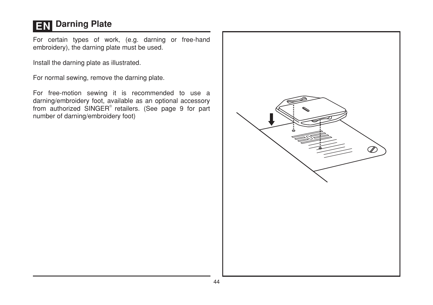## **EN** Darning Plate

For certain types of work, (e.g. darning or free-hand embroidery), the darning plate must be used.

Install the darning plate as illustrated.

For normal sewing, remove the darning plate.

For free-motion sewing it is recommended to use a darning/embroidery foot, available as an optional accessory from authorized SINGER® retailers. (See page 9 for part number of darning/embroidery foot)

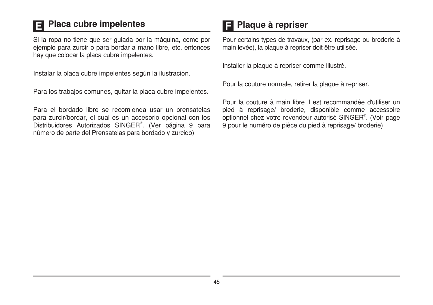#### **Placa cubre impelentes** IE.

Si la ropa no tiene que ser quiada por la máquina, como por ejemplo para zurcir o para bordar a mano libre, etc. entonces hay que colocar la placa cubre impelentes.

Instalar la placa cubre impelentes según la ilustración.

Para los trabajos comunes, quitar la placa cubre impelentes.

Para el bordado libre se recomienda usar un prensatelas para zurcir/bordar, el cual es un accesorio opcional con los Distribuidores Autorizados SINGER<sup>®</sup>. (Ver página 9 para número de parte del Prensatelas para bordado y zurcido)

### **El Plaque à repriser**

Pour certains types de travaux, (par ex. reprisage ou broderie à main levée), la plaque à repriser doit être utilisée.

Installer la plaque à repriser comme illustré.

Pour la couture normale, retirer la plaque à repriser.

Pour la couture à main libre il est recommandée d'utiliser un pied à reprisage/ broderie, disponible comme accessoire optionnel chez votre revendeur autorisé SINGER®. (Voir page 9 pour le numéro de pièce du pied à reprisage/ broderie)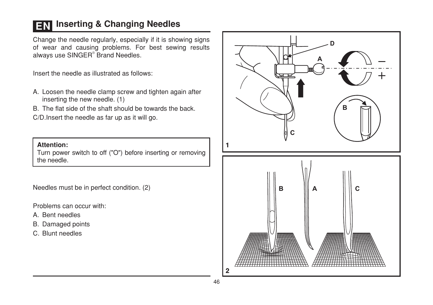### **EN Inserting & Changing Needles**

Change the needle regularly, especially if it is showing signs of wear and causing problems. For best sewing results always use SINGER® Brand Needles.

Insert the needle as illustrated as follows:

- A. Loosen the needle clamp screw and tighten again after inserting the new needle. (1)
- B. The flat side of the shaft should be towards the back.

C/D. Insert the needle as far up as it will go.

**Attention:** 

Turn power switch to off ("O") before inserting or removing the needle.

Needles must be in perfect condition. (2)

Problems can occur with:

- A. Bent needles
- B. Damaged points
- C. Blunt needles

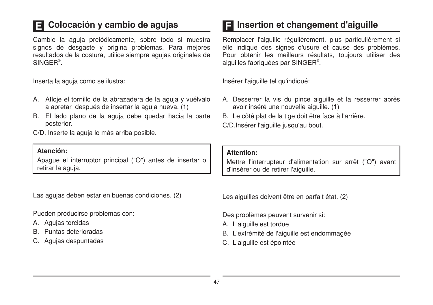## Colocación y cambio de agujas

Cambie la aguja preiódicamente, sobre todo si muestra signos de desgaste y origina problemas. Para mejores resultados de la costura, utilice siempre agujas originales de SINGFR<sup>®</sup>

Inserta la aquia como se ilustra:

- A. Afloje el tornillo de la abrazadera de la aguja y vuélvalo a apretar después de insertar la aguja nueva. (1)
- B. El lado plano de la aguia debe quedar hacia la parte posterior.

C/D. Inserte la aquia lo más arriba posible.

#### Atención:

Apague el interruptor principal ("O") antes de insertar o retirar la aguja.

Las agujas deben estar en buenas condiciones. (2)

Pueden producirse problemas con:

- A. Aquias torcidas
- B. Puntas deterioradas
- C. Agujas despuntadas

### **E** Insertion et changement d'aiguille

Remplacer l'ajquille réqulièrement, plus particulièrement si elle indique des signes d'usure et cause des problèmes. Pour obtenir les meilleurs résultats, toujours utiliser des aiquilles fabriquées par SINGER<sup>®</sup>.

Insérer l'aiguille tel qu'indiqué:

- A. Desserrer la vis du pince aiguille et la resserrer après avoir inséré une nouvelle aiguille. (1)
- B. Le côté plat de la tige doit être face à l'arrière.

C/D.Insérer l'aiquille jusqu'au bout.

#### **Attention:**

Mettre l'interrupteur d'alimentation sur arrêt ("O") avant d'insérer ou de retirer l'aiquille.

Les aiguilles doivent être en parfait état. (2)

Des problèmes peuvent survenir si:

- A. L'aiguille est tordue
- B. L'extrémité de l'aiguille est endommagée
- C. L'aiguille est épointée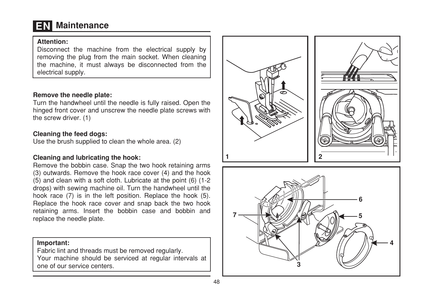## **EN** Maintenance

#### **Attention:**

Disconnect the machine from the electrical supply by removing the plug from the main socket. When cleaning the machine, it must always be disconnected from the electrical supply.

#### Remove the needle plate:

Turn the handwheel until the needle is fully raised. Open the hinged front cover and unscrew the needle plate screws with the screw driver. (1)

#### Cleaning the feed dogs:

Use the brush supplied to clean the whole area. (2)

#### Cleaning and lubricating the hook:

Remove the bobbin case. Snap the two hook retaining arms (3) outwards. Remove the hook race cover (4) and the hook (5) and clean with a soft cloth. Lubricate at the point (6) (1-2) drops) with sewing machine oil. Turn the handwheel until the hook race (7) is in the left position. Replace the hook (5). Replace the hook race cover and snap back the two hook retaining arms. Insert the bobbin case and bobbin and replace the needle plate.

#### Important:

Fabric lint and threads must be removed regularly. Your machine should be serviced at regular intervals at one of our service centers.



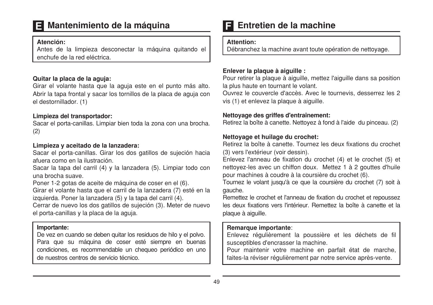### E Mantenimiento de la máquina

#### Atención:

Antes de la limpieza desconectar la máquina quitando el enchufe de la red eléctrica

#### Quitar la placa de la aguja:

Girar el volante hasta que la aguja este en el punto más alto. Abrir la tapa frontal y sacar los tornillos de la placa de aquia con el destornillador. (1)

#### Limpieza del transportador:

Sacar el porta-canillas. Limpiar bien toda la zona con una brocha.  $(2)$ 

#### Limpieza y aceitado de la lanzadera:

Sacar el porta-canillas. Girar los dos gatillos de sujeción hacia afuera como en la ilustración

Sacar la tapa del carril (4) y la lanzadera (5). Limpiar todo con una brocha suave.

Poner 1-2 gotas de aceite de máquina de coser en el (6).

Girar el volante hasta que el carril de la lanzadera (7) esté en la izquierda. Poner la lanzadera (5) y la tapa del carril (4).

Cerrar de nuevo los dos gatillos de sujeción (3). Meter de nuevo el porta-canillas y la placa de la aguja.

#### Importante:

De vez en cuando se deben quitar los residuos de hilo y el polvo. Para que su máquina de coser esté siempre en buenas condiciones, es recommendable un chequeo periódico en uno de nuestros centros de servicio técnico.

### Entretien de la machine

#### Attention:

Débranchez la machine avant toute opération de nettoyage.

#### Enlever la plaque à aiguille :

Pour retirer la plaque à ajouille, mettez l'ajouille dans sa position la plus haute en tournant le volant.

Ouvrez le couvercle d'accès. Avec le tournevis, desserrez les 2 vis (1) et enlevez la plaque à aiguille.

#### Nettovage des griffes d'entraînement:

Retirez la boîte à canette. Nettoyez à fond à l'aide du pinceau. (2)

#### Nettoyage et huilage du crochet:

Retirez la boîte à canette. Tournez les deux fixations du crochet (3) vers l'extérieur (voir dessin).

Enlevez l'anneau de fixation du crochet (4) et le crochet (5) et nettoyez-les avec un chiffon doux. Mettez 1 à 2 gouttes d'huile pour machines à coudre à la coursière du crochet (6).

Tournez le volant jusqu'à ce que la coursière du crochet (7) soit à gauche.

Remettez le crochet et l'anneau de fixation du crochet et repoussez les deux fixations vers l'intérieur. Bemettez la boîte à canette et la plaque à aiguille.

#### Remarque importante:

Enlevez régulièrement la poussière et les déchets de fil susceptibles d'encrasser la machine.

Pour maintenir votre machine en parfait état de marche, faites-la réviser régulièrement par notre service après-vente.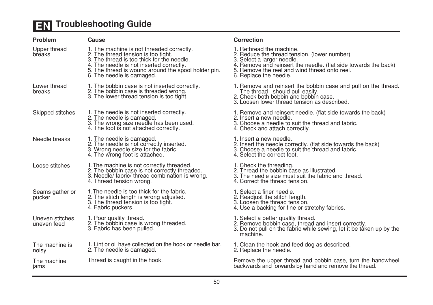## **EN** Troubleshooting Guide

| Problem                         | Cause                                                                                                                                                                                                                                                          | Correction                                                                                  |
|---------------------------------|----------------------------------------------------------------------------------------------------------------------------------------------------------------------------------------------------------------------------------------------------------------|---------------------------------------------------------------------------------------------|
| Upper thread<br>breaks          | 1. The machine is not threaded correctly.<br>2. The thread tension is too tight.<br>3. The thread is too thick for the needle.<br>4. The needle is not inserted correctly.<br>5. The thread is wound around the spool holder pin.<br>6. The needle is damaged. | 1. Rethread<br>2. Reduce th<br>3. Select a la<br>4. Remove a<br>5. Remove t<br>6. Replace t |
| Lower thread<br>breaks          | 1. The bobbin case is not inserted correctly.<br>2. The bobbin case is threaded wrong.<br>3. The lower thread tension is too tight.                                                                                                                            | 1. Remove a<br>The threa<br>2. Check bo<br>3. Loosen lo                                     |
| Skipped stitches                | 1. The needle is not inserted correctly.<br>2. The needle is damaged.<br>3. The wrong size needle has been used.<br>4. The foot is not attached correctly.                                                                                                     | 1. Remove a<br>2. Insert a n<br>3. Choose a<br>4. Check an                                  |
| Needle breaks                   | 1. The needle is damaged.<br>2. The needle is not correctly inserted.<br>3. Wrong needle size for the fabric.<br>4. The wrong foot is attached.                                                                                                                | 1. Insert a n<br>2. Insert the<br>3. Choose a<br>4. Select the                              |
| Loose stitches                  | 1. The machine is not correctly threaded.<br>2. The bobbin case is not correctly threaded.<br>3. Needle/ fabric/ thread combination is wrong.<br>4. Thread tension wrong.                                                                                      | 1. Check the<br>2. Thread th<br>3. The need<br>4. Correct th                                |
| Seams gather or<br>pucker       | 1. The needle is too thick for the fabric.<br>2. The stitch length is wrong adjusted.<br>3. The thread tension is too tight.<br>4. Fabric puckers.                                                                                                             | 1. Select a fi<br>2. Readjust<br>3. Loosen th<br>4. Use a bad                               |
| Uneven stitches.<br>uneven feed | 1. Poor quality thread.<br>2. The bobbin case is wrong threaded.<br>3. Fabric has been pulled.                                                                                                                                                                 | 1. Select a b<br>2. Remove b<br>3. Do not pu<br>machine.                                    |
| The machine is<br>noisy         | 1. Lint or oil have collected on the hook or needle bar.<br>2. The needle is damaged.                                                                                                                                                                          | 1. Clean the<br>2. Replace t                                                                |
| The machine<br>jams             | Thread is caught in the hook.                                                                                                                                                                                                                                  | Remove the<br>backwards a                                                                   |

|    | 1. Rethread the machine.<br>2. Reduce the thread tension. (lower number)<br>3. Select a larger needle.<br>4. Remove and reinsert the needle. (flat side towards the back)<br>5. Remove the reel and wind thread onto reel.<br>6. Replace the needle. |
|----|------------------------------------------------------------------------------------------------------------------------------------------------------------------------------------------------------------------------------------------------------|
|    | 1. Remove and reinsert the bobbin case and pull on the thread.<br>The thread should pull easily.<br>2. Check both bobbin and bobbin case.<br>3. Loosen lower thread tension as described.                                                            |
|    | 1. Remove and reinsert needle. (flat side towards the back)<br>2. Insert a new needle.<br>3. Choose a needle to suit the thread and fabric.<br>4. Check and attach correctly.                                                                        |
|    | 1. Insert a new needle.<br>2. Insert the needle correctly. (flat side towards the back)<br>3. Choose a needle to suit the thread and fabric.<br>4. Select the correct foot.                                                                          |
|    | 1. Check the threading.<br>2. Thread the bobbin case as illustrated.<br>3. The needle size must suit the fabric and thread.<br>4. Correct the thread tension.                                                                                        |
|    | 1. Select a finer needle.<br>2. Readjust the stitch length.<br>3. Loosen the thread tension.<br>4. Use a backing for fine or stretchy fabrics.                                                                                                       |
|    | 1. Select a better quality thread.<br>2. Remove bobbin case, thread and insert correctly.<br>3. Do not pull on the fabric while sewing, let it be taken up by the<br>machine.                                                                        |
| ٠. | 1. Clean the hook and feed dog as described.<br>2. Replace the needle.                                                                                                                                                                               |
|    | Remove the upper thread and bobbin case, turn the handwheel<br>backwards and forwards by hand and remove the thread.                                                                                                                                 |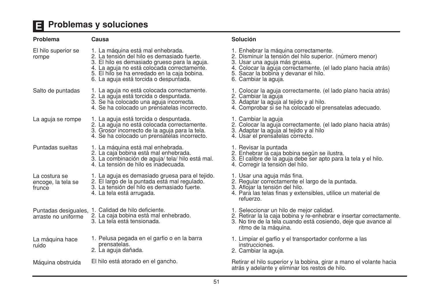## Problemas y soluciones

| Problema                                      | Causa                                                                                                                                                                                                                                                                      |
|-----------------------------------------------|----------------------------------------------------------------------------------------------------------------------------------------------------------------------------------------------------------------------------------------------------------------------------|
| El hilo superior se<br>rompe                  | 1. La máquina está mal enhebrada.<br>2. La tensión del hilo es demasiado fuerte.<br>3. El hilo es demasiado grueso para la aguja.<br>4. La aguja no está colocada correctamente.<br>5. El hilo se ha enredado en la caja bobina.<br>6. La aguja está torcida o despuntada. |
| Salto de puntadas                             | 1. La aguja no está colocada correctamente.<br>2. La aguja está torcida o despuntada.<br>3. Se ha colocado una aguja incorrecta.<br>4. Se ha colocado un prensatelas incorrecto.                                                                                           |
| La aguja se rompe                             | 1. La aguja está torcida o despuntada.<br>2. La aguja no está colocada correctamente.<br>3. Grosor incorrecto de la aguja para la tela.<br>4. Se ha colocado un prensatelas incorrecto.                                                                                    |
| Puntadas sueltas                              | 1. La máquina está mal enhebrada.<br>2. La caja bobina está mal enhebrada.<br>3. La combinación de aguja/ tela/ hilo está mal.<br>4. La tensión de hilo es inadecuada.                                                                                                     |
| La costura se<br>encoge, la tela se<br>frunce | 1. La aguja es demasiado gruesa para el tejido.<br>2. El largo de la puntada está mal regulado.<br>3. La tensión del hilo es demasiado fuerte.<br>4. La tela está arrugada.                                                                                                |
| Puntadas desiguales,<br>arraste no uniforme   | 1. Calidad de hilo deficiente.<br>2. La caja bobina está mal enhebrado.<br>3. La tela está tensionada.                                                                                                                                                                     |
| La máquina hace<br>ruido                      | 1. Pelusa pegada en el garfio o en la barra<br>prensatelas.<br>2. La aguja dañada.                                                                                                                                                                                         |
| Máquina obstruida                             | El hilo está atorado en el gancho.                                                                                                                                                                                                                                         |

#### Solución

| 1. Enhebrar la máquina correctamente.<br>2. Disminuir la tensión del hilo superior. (número menor)<br>3. Usar una aguja más gruesa.<br>4. Colocar la aguja correctamente. (el lado plano hacia atrás)<br>5. Sacar la bobina y devanar el hilo.<br>6. Cambiar la aguja. |
|------------------------------------------------------------------------------------------------------------------------------------------------------------------------------------------------------------------------------------------------------------------------|
| 1. Colocar la aguja correctamente. (el lado plano hacia atrás)<br>2. Cambiar la aguja<br>3. Adaptar la aguja al tejido y al hilo.<br>4. Comprobar si se ha colocado el prensatelas adecuado.                                                                           |
| 1. Cambiar la aguja<br>2. Colocar la aguja correctamente. (el lado plano hacia atrás)<br>3. Adaptar la aguja al tejido y al hilo<br>4. Usar el prensatelas correcto.                                                                                                   |
| 1. Revisar la puntada<br>2. Enhebrar la caja bobina según se ilustra.<br>3. El calibre de la aguja debe ser apto para la tela y el hilo.<br>4. Corregir la tensión del hilo.                                                                                           |
| 1. Usar una aguja más fina.<br>2. Regular correctamente el largo de la puntada.<br>3. Aflojar la tensión del hilo.<br>4. Para las telas finas y extensibles, utilice un material de<br>refuerzo.                                                                       |
| 1. Seleccionar un hilo de mejor calidad.<br>2. Retirar la la caja bobina y re-enhebrar e insertar correctamente<br>3. No tire de la tela cuando está cosiendo, deje que avance al<br>ritmo de la máquina.                                                              |
| 1. Limpiar el garfio y el transportador conforme a las<br>instrucciones.<br>2. Cambiar la aguja.                                                                                                                                                                       |
| Retirar el hilo superior y la bobina, girar a mano el volante hacia<br>atrás y adelante y eliminar los restos de hilo.                                                                                                                                                 |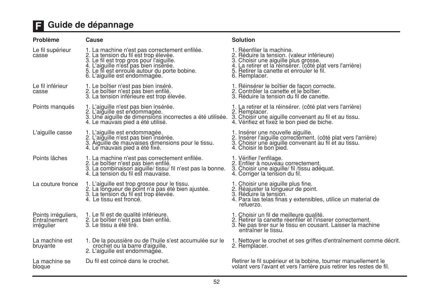## **E** Guide de dépannage

| Problème                                          | Cause                                                                                                                                                                                                                                                         | <b>Solution</b>                                                                                                                                                                                                                           |
|---------------------------------------------------|---------------------------------------------------------------------------------------------------------------------------------------------------------------------------------------------------------------------------------------------------------------|-------------------------------------------------------------------------------------------------------------------------------------------------------------------------------------------------------------------------------------------|
| Le fil supérieur<br>casse                         | 1. La machine n'est pas correctement enfilée.<br>2. La tension du fil est trop élevée.<br>3. Le fil est trop gros pour l'aiguille.<br>4. L'aiguille n'est pas bien insérée.<br>5. Le fil est enroulé autour du porte bobine.<br>6. L'aiguille est endommagée. | 1. Réenfiler la machine.<br>2. Réduire la tension. (valeur inférieure)<br>3. Choisir une aiguille plus grosse.<br>4. La retirer et la réinsérer. (côté plat vers l'arrière)<br>5. Retirer la canette et enrouler le fil.<br>6. Remplacer. |
| Le fil inférieur<br>casse                         | 1. Le boîtier n'est pas bien inséré.<br>2. Le boîtier n'est pas bien enfilé.<br>3. La tension inférieure est trop élevée.                                                                                                                                     | 1. Réinsérer le boîtier de façon correcte.<br>2. Contrôler la canette et le boîtier.<br>3. Réduire la tension du fil de canette.                                                                                                          |
| Points manqués                                    | 1. L'aiguille n'est pas bien insérée.<br>2. L'aiguille est endommagée.<br>3. Une aiguille de dimensions incorrectes a été utilisée. 3. Choisir une aiguille convenant au fil et au tissu.<br>4. Le mauvais pied a été utilisé.                                | 1. La retirer et la réinsérer. (côté plat vers l'arrière)<br>2. Remplacer.<br>4. Vérifiez et fixez le bon pied de biche.                                                                                                                  |
| L'aiguille casse                                  | 1. L'aiguille est endommagée.<br>2. L'aiguille n'est pas bien insérée.<br>3. Aiguille de mauvaises dimensions pour le tissu.<br>4. Le mauvais pied a été fixé.                                                                                                | 1. Insérer une nouvelle aiguille.<br>2. Insérer l'aiguille correctement. (côté plat vers l'arrière)<br>3. Choisir une aiguille convenant au fil et au tissu.<br>4. Choisir le bon pied.                                                   |
| Points lâches                                     | 1. La machine n'est pas correctement enfilée.<br>2. Le boîtier n'est pas bien enfilé.<br>3. La combinaison aiguille/ tissu/ fil n'est pas la bonne.<br>4. La tension du fil est mauvaise.                                                                     | 1. Vérifier l'enfilage.<br>2. Enfiler à nouveau correctement.<br>3. Choisir une aiguille/ fil /tissu adéquat.<br>4. Corriger la tension du fil.                                                                                           |
| La couture fronce                                 | 1. L'aiguille est trop grosse pour le tissu.<br>2. La longueur de point n'a pas été bien ajustée.<br>3. La tension du fil est trop élevée.<br>4. Le tissu est froncé.                                                                                         | 1. Choisir une aiguille plus fine.<br>2. Réajuster la longueur de point.<br>3. Réduire la tension.<br>4. Para las telas finas y extensibles, utilice un material de<br>refuerzo.                                                          |
| Points irréguliers,<br>Entraînement<br>irrégulier | 1. Le fil est de qualité inférieure.<br>2. Le boîtier n'est pas bien enfilé.<br>3. Le tissu a été tiré.                                                                                                                                                       | 1. Choisir un fil de meilleure qualité.<br>2. Retirer la canette réenfiler et l'inserer correctement.<br>3. Ne pas tirer sur le tissu en cousant. Laisser la machine<br>entraîner le tissu.                                               |
| La machine est<br>bruyante                        | 1. De la poussière ou de l'huile s'est accumulée sur le<br>crochet ou la barre d'aiguille.<br>2. L'aiguille est endommagée.                                                                                                                                   | 1. Nettoyer le crochet et ses griffes d'entraînement comme décrit<br>2. Remplacer.                                                                                                                                                        |
| La machine se<br>bloque                           | Du fil est coincé dans le crochet.                                                                                                                                                                                                                            | Retirer le fil supérieur et la bobine, tourner manuellement le<br>volant vers l'avant et vers l'arrière puis retirer les restes de fil.                                                                                                   |